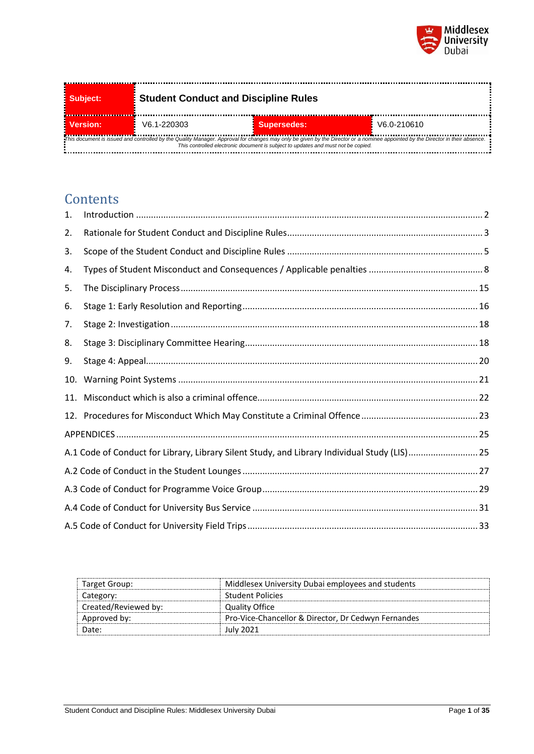

| Subject:                                                                                                                                                                                                                                                            | <b>Student Conduct and Discipline Rules</b> |                    |             |
|---------------------------------------------------------------------------------------------------------------------------------------------------------------------------------------------------------------------------------------------------------------------|---------------------------------------------|--------------------|-------------|
| Version:                                                                                                                                                                                                                                                            | V6.1-220303                                 | <b>Supersedes:</b> | V6.0-210610 |
| This document is issued and controlled by the Quality Manager. Approval for changes may only be given by the Director or a nominee appointed by the Director in their absence.<br>This controlled electronic document is subject to updates and must not be copied. |                                             |                    |             |

# **Contents**

| 1.  |                                                                                              |  |
|-----|----------------------------------------------------------------------------------------------|--|
| 2.  |                                                                                              |  |
| 3.  |                                                                                              |  |
| 4.  |                                                                                              |  |
| 5.  |                                                                                              |  |
| 6.  |                                                                                              |  |
| 7.  |                                                                                              |  |
| 8.  |                                                                                              |  |
| 9.  |                                                                                              |  |
| 10. |                                                                                              |  |
| 11. |                                                                                              |  |
|     |                                                                                              |  |
|     |                                                                                              |  |
|     | A.1 Code of Conduct for Library, Library Silent Study, and Library Individual Study (LIS) 25 |  |
|     |                                                                                              |  |
|     |                                                                                              |  |
|     |                                                                                              |  |
|     |                                                                                              |  |

| Target Group:        | Middlesex University Dubai employees and students   |
|----------------------|-----------------------------------------------------|
| Category:            | <b>Student Policies</b>                             |
| Created/Reviewed by: | Quality Office                                      |
| Approved by:         | Pro-Vice-Chancellor & Director, Dr Cedwyn Fernandes |
| Date:                | July 2021                                           |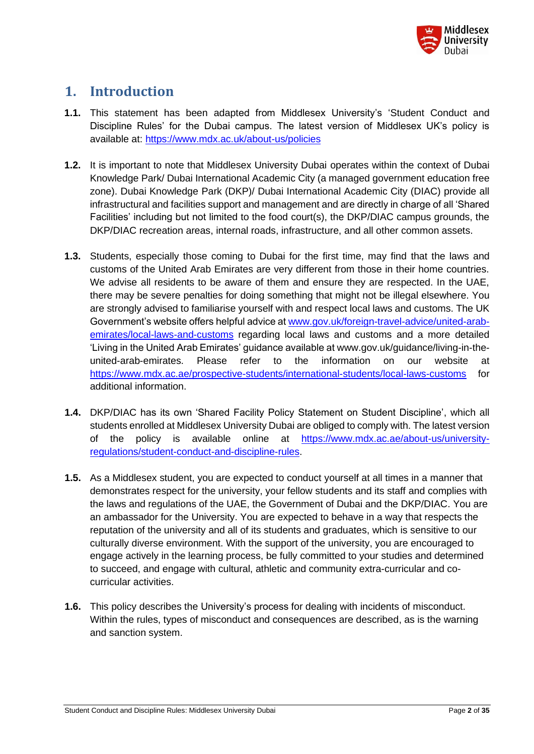

# <span id="page-1-0"></span>**1. Introduction**

- **1.1.** This statement has been adapted from Middlesex University's 'Student Conduct and Discipline Rules' for the Dubai campus. The latest version of Middlesex UK's policy is available at:<https://www.mdx.ac.uk/about-us/policies>
- **1.2.** It is important to note that Middlesex University Dubai operates within the context of Dubai Knowledge Park/ Dubai International Academic City (a managed government education free zone). Dubai Knowledge Park (DKP)/ Dubai International Academic City (DIAC) provide all infrastructural and facilities support and management and are directly in charge of all 'Shared Facilities' including but not limited to the food court(s), the DKP/DIAC campus grounds, the DKP/DIAC recreation areas, internal roads, infrastructure, and all other common assets.
- **1.3.** Students, especially those coming to Dubai for the first time, may find that the laws and customs of the United Arab Emirates are very different from those in their home countries. We advise all residents to be aware of them and ensure they are respected. In the UAE, there may be severe penalties for doing something that might not be illegal elsewhere. You are strongly advised to familiarise yourself with and respect local laws and customs. The UK Government's website offers helpful advice a[t www.gov.uk/foreign-travel-advice/united-arab](http://www.gov.uk/foreign-travel-advice/united-arab-emirates/local-laws-and-customs)[emirates/local-laws-and-customs](http://www.gov.uk/foreign-travel-advice/united-arab-emirates/local-laws-and-customs) regarding local laws and customs and a more detailed 'Living in the United Arab Emirates' guidance available at [www.gov.uk/guidance/living-in-the](http://www.gov.uk/guidance/living-in-the-united-arab-emirates)[united-arab-emirates.](http://www.gov.uk/guidance/living-in-the-united-arab-emirates) Please refer to the information on our website at <https://www.mdx.ac.ae/prospective-students/international-students/local-laws-customs> for additional information.
- **1.4.** DKP/DIAC has its own 'Shared Facility Policy Statement on Student Discipline', which all students enrolled at Middlesex University Dubai are obliged to comply with. The latest version of the policy is available online at [https://www.mdx.ac.ae/about-us/university](https://www.mdx.ac.ae/about-us/university-regulations/student-conduct-and-discipline-rules)[regulations/student-conduct-and-discipline-rules.](https://www.mdx.ac.ae/about-us/university-regulations/student-conduct-and-discipline-rules)
- **1.5.** As a Middlesex student, you are expected to conduct yourself at all times in a manner that demonstrates respect for the university, your fellow students and its staff and complies with the laws and regulations of the UAE, the Government of Dubai and the DKP/DIAC. You are an ambassador for the University. You are expected to behave in a way that respects the reputation of the university and all of its students and graduates, which is sensitive to our culturally diverse environment. With the support of the university, you are encouraged to engage actively in the learning process, be fully committed to your studies and determined to succeed, and engage with cultural, athletic and community extra-curricular and cocurricular activities.
- **1.6.** This policy describes the University's process for dealing with incidents of misconduct. Within the rules, types of misconduct and consequences are described, as is the warning and sanction system.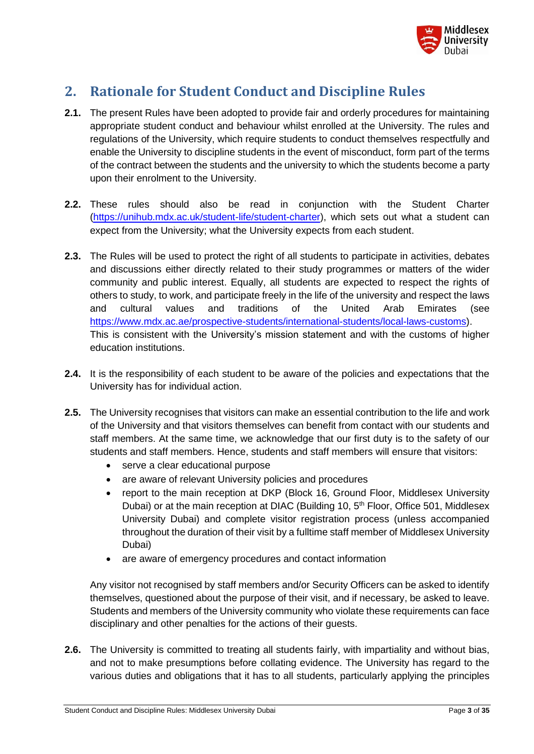

# <span id="page-2-0"></span>**2. Rationale for Student Conduct and Discipline Rules**

- **2.1.** The present Rules have been adopted to provide fair and orderly procedures for maintaining appropriate student conduct and behaviour whilst enrolled at the University. The rules and regulations of the University, which require students to conduct themselves respectfully and enable the University to discipline students in the event of misconduct, form part of the terms of the contract between the students and the university to which the students become a party upon their enrolment to the University.
- **2.2.** These rules should also be read in conjunction with the Student Charter [\(https://unihub.mdx.ac.uk/student-life/student-charter\)](https://unihub.mdx.ac.uk/student-life/student-charter), which sets out what a student can expect from the University; what the University expects from each student.
- **2.3.** The Rules will be used to protect the right of all students to participate in activities, debates and discussions either directly related to their study programmes or matters of the wider community and public interest. Equally, all students are expected to respect the rights of others to study, to work, and participate freely in the life of the university and respect the laws and cultural values and traditions of the United Arab Emirates (see [https://www.mdx.ac.ae/prospective-students/international-students/local-laws-customs\)](https://www.mdx.ac.ae/prospective-students/international-students/local-laws-customs). This is consistent with the University's mission statement and with the customs of higher education institutions.
- **2.4.** It is the responsibility of each student to be aware of the policies and expectations that the University has for individual action.
- **2.5.** The University recognises that visitors can make an essential contribution to the life and work of the University and that visitors themselves can benefit from contact with our students and staff members. At the same time, we acknowledge that our first duty is to the safety of our students and staff members. Hence, students and staff members will ensure that visitors:
	- serve a clear educational purpose
	- are aware of relevant University policies and procedures
	- report to the main reception at DKP (Block 16, Ground Floor, Middlesex University Dubai) or at the main reception at DIAC (Building 10, 5<sup>th</sup> Floor, Office 501, Middlesex University Dubai) and complete visitor registration process (unless accompanied throughout the duration of their visit by a fulltime staff member of Middlesex University Dubai)
	- are aware of emergency procedures and contact information

Any visitor not recognised by staff members and/or Security Officers can be asked to identify themselves, questioned about the purpose of their visit, and if necessary, be asked to leave. Students and members of the University community who violate these requirements can face disciplinary and other penalties for the actions of their guests.

**2.6.** The University is committed to treating all students fairly, with impartiality and without bias, and not to make presumptions before collating evidence. The University has regard to the various duties and obligations that it has to all students, particularly applying the principles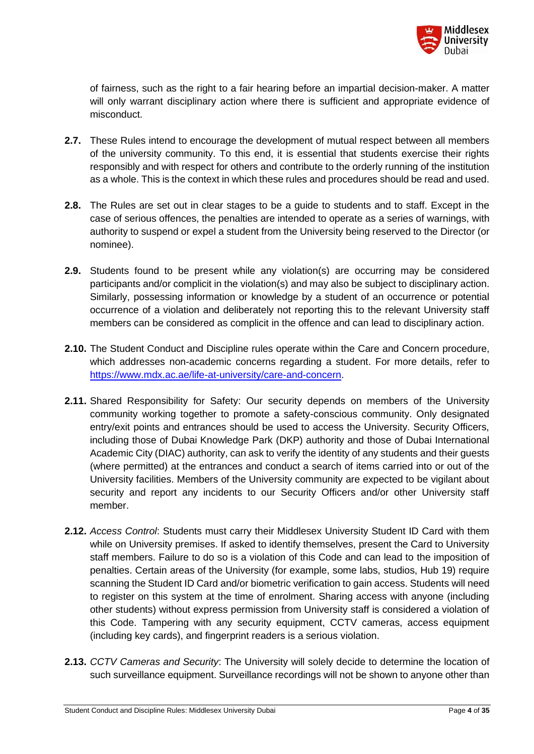

of fairness, such as the right to a fair hearing before an impartial decision-maker. A matter will only warrant disciplinary action where there is sufficient and appropriate evidence of misconduct.

- **2.7.** These Rules intend to encourage the development of mutual respect between all members of the university community. To this end, it is essential that students exercise their rights responsibly and with respect for others and contribute to the orderly running of the institution as a whole. This is the context in which these rules and procedures should be read and used.
- **2.8.** The Rules are set out in clear stages to be a guide to students and to staff. Except in the case of serious offences, the penalties are intended to operate as a series of warnings, with authority to suspend or expel a student from the University being reserved to the Director (or nominee).
- **2.9.** Students found to be present while any violation(s) are occurring may be considered participants and/or complicit in the violation(s) and may also be subject to disciplinary action. Similarly, possessing information or knowledge by a student of an occurrence or potential occurrence of a violation and deliberately not reporting this to the relevant University staff members can be considered as complicit in the offence and can lead to disciplinary action.
- **2.10.** The Student Conduct and Discipline rules operate within the Care and Concern procedure, which addresses non-academic concerns regarding a student. For more details, refer to [https://www.mdx.ac.ae/life-at-university/care-and-concern.](https://www.mdx.ac.ae/life-at-university/care-and-concern)
- **2.11.** Shared Responsibility for Safety: Our security depends on members of the University community working together to promote a safety-conscious community. Only designated entry/exit points and entrances should be used to access the University. Security Officers, including those of Dubai Knowledge Park (DKP) authority and those of Dubai International Academic City (DIAC) authority, can ask to verify the identity of any students and their guests (where permitted) at the entrances and conduct a search of items carried into or out of the University facilities. Members of the University community are expected to be vigilant about security and report any incidents to our Security Officers and/or other University staff member.
- **2.12.** *Access Control*: Students must carry their Middlesex University Student ID Card with them while on University premises. If asked to identify themselves, present the Card to University staff members. Failure to do so is a violation of this Code and can lead to the imposition of penalties. Certain areas of the University (for example, some labs, studios, Hub 19) require scanning the Student ID Card and/or biometric verification to gain access. Students will need to register on this system at the time of enrolment. Sharing access with anyone (including other students) without express permission from University staff is considered a violation of this Code. Tampering with any security equipment, CCTV cameras, access equipment (including key cards), and fingerprint readers is a serious violation.
- **2.13.** *CCTV Cameras and Security*: The University will solely decide to determine the location of such surveillance equipment. Surveillance recordings will not be shown to anyone other than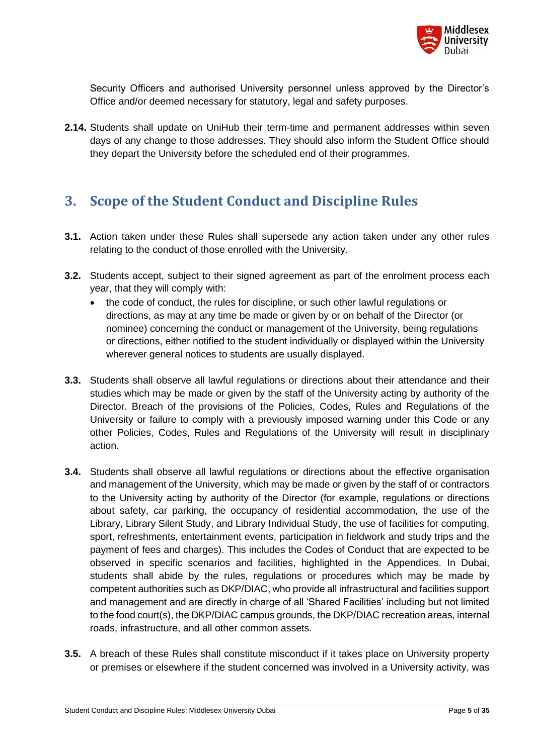

Security Officers and authorised University personnel unless approved by the Director's Office and/or deemed necessary for statutory, legal and safety purposes.

**2.14.** Students shall update on UniHub their term-time and permanent addresses within seven days of any change to those addresses. They should also inform the Student Office should they depart the University before the scheduled end of their programmes.

### <span id="page-4-0"></span>**3. Scope of the Student Conduct and Discipline Rules**

- **3.1.** Action taken under these Rules shall supersede any action taken under any other rules relating to the conduct of those enrolled with the University.
- **3.2.** Students accept, subject to their signed agreement as part of the enrolment process each year, that they will comply with:
	- the code of conduct, the rules for discipline, or such other lawful regulations or directions, as may at any time be made or given by or on behalf of the Director (or nominee) concerning the conduct or management of the University, being regulations or directions, either notified to the student individually or displayed within the University wherever general notices to students are usually displayed.
- **3.3.** Students shall observe all lawful regulations or directions about their attendance and their studies which may be made or given by the staff of the University acting by authority of the Director. Breach of the provisions of the Policies, Codes, Rules and Regulations of the University or failure to comply with a previously imposed warning under this Code or any other Policies, Codes, Rules and Regulations of the University will result in disciplinary action.
- **3.4.** Students shall observe all lawful regulations or directions about the effective organisation and management of the University, which may be made or given by the staff of or contractors to the University acting by authority of the Director (for example, regulations or directions about safety, car parking, the occupancy of residential accommodation, the use of the Library, Library Silent Study, and Library Individual Study, the use of facilities for computing, sport, refreshments, entertainment events, participation in fieldwork and study trips and the payment of fees and charges). This includes the Codes of Conduct that are expected to be observed in specific scenarios and facilities, highlighted in the Appendices. In Dubai, students shall abide by the rules, regulations or procedures which may be made by competent authorities such as DKP/DIAC, who provide all infrastructural and facilities support and management and are directly in charge of all 'Shared Facilities' including but not limited to the food court(s), the DKP/DIAC campus grounds, the DKP/DIAC recreation areas, internal roads, infrastructure, and all other common assets.
- **3.5.** A breach of these Rules shall constitute misconduct if it takes place on University property or premises or elsewhere if the student concerned was involved in a University activity, was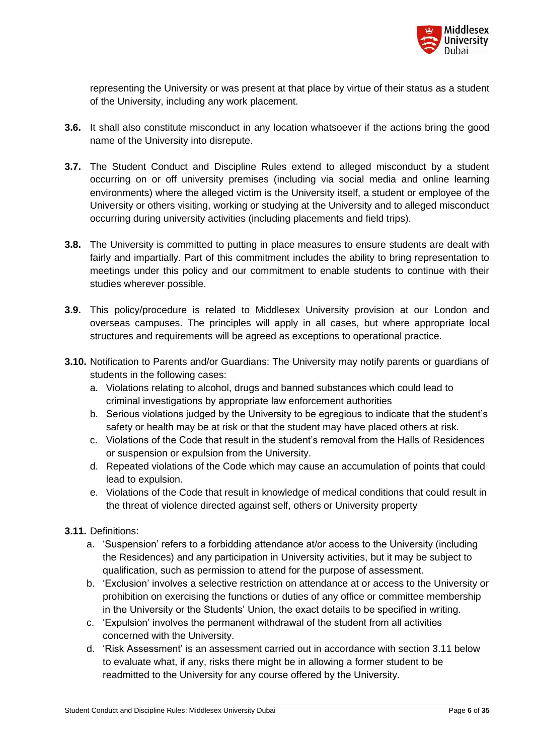

representing the University or was present at that place by virtue of their status as a student of the University, including any work placement.

- **3.6.** It shall also constitute misconduct in any location whatsoever if the actions bring the good name of the University into disrepute.
- **3.7.** The Student Conduct and Discipline Rules extend to alleged misconduct by a student occurring on or off university premises (including via social media and online learning environments) where the alleged victim is the University itself, a student or employee of the University or others visiting, working or studying at the University and to alleged misconduct occurring during university activities (including placements and field trips).
- **3.8.** The University is committed to putting in place measures to ensure students are dealt with fairly and impartially. Part of this commitment includes the ability to bring representation to meetings under this policy and our commitment to enable students to continue with their studies wherever possible.
- **3.9.** This policy/procedure is related to Middlesex University provision at our London and overseas campuses. The principles will apply in all cases, but where appropriate local structures and requirements will be agreed as exceptions to operational practice.
- **3.10.** Notification to Parents and/or Guardians: The University may notify parents or guardians of students in the following cases:
	- a. Violations relating to alcohol, drugs and banned substances which could lead to criminal investigations by appropriate law enforcement authorities
	- b. Serious violations judged by the University to be egregious to indicate that the student's safety or health may be at risk or that the student may have placed others at risk.
	- c. Violations of the Code that result in the student's removal from the Halls of Residences or suspension or expulsion from the University.
	- d. Repeated violations of the Code which may cause an accumulation of points that could lead to expulsion.
	- e. Violations of the Code that result in knowledge of medical conditions that could result in the threat of violence directed against self, others or University property
- **3.11.** Definitions:
	- a. 'Suspension' refers to a forbidding attendance at/or access to the University (including the Residences) and any participation in University activities, but it may be subject to qualification, such as permission to attend for the purpose of assessment.
	- b. 'Exclusion' involves a selective restriction on attendance at or access to the University or prohibition on exercising the functions or duties of any office or committee membership in the University or the Students' Union, the exact details to be specified in writing.
	- c. 'Expulsion' involves the permanent withdrawal of the student from all activities concerned with the University.
	- d. 'Risk Assessment' is an assessment carried out in accordance with section 3.11 below to evaluate what, if any, risks there might be in allowing a former student to be readmitted to the University for any course offered by the University.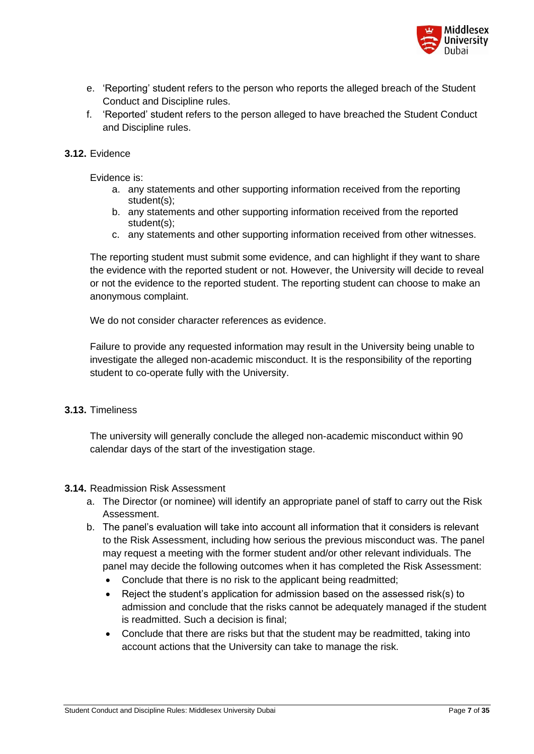

- e. 'Reporting' student refers to the person who reports the alleged breach of the Student Conduct and Discipline rules.
- f. 'Reported' student refers to the person alleged to have breached the Student Conduct and Discipline rules.

#### **3.12.** Evidence

Evidence is:

- a. any statements and other supporting information received from the reporting student(s);
- b. any statements and other supporting information received from the reported student(s);
- c. any statements and other supporting information received from other witnesses.

The reporting student must submit some evidence, and can highlight if they want to share the evidence with the reported student or not. However, the University will decide to reveal or not the evidence to the reported student. The reporting student can choose to make an anonymous complaint.

We do not consider character references as evidence.

Failure to provide any requested information may result in the University being unable to investigate the alleged non-academic misconduct. It is the responsibility of the reporting student to co-operate fully with the University.

#### **3.13.** Timeliness

The university will generally conclude the alleged non-academic misconduct within 90 calendar days of the start of the investigation stage.

#### **3.14.** Readmission Risk Assessment

- a. The Director (or nominee) will identify an appropriate panel of staff to carry out the Risk Assessment.
- b. The panel's evaluation will take into account all information that it considers is relevant to the Risk Assessment, including how serious the previous misconduct was. The panel may request a meeting with the former student and/or other relevant individuals. The panel may decide the following outcomes when it has completed the Risk Assessment:
	- Conclude that there is no risk to the applicant being readmitted;
	- Reject the student's application for admission based on the assessed risk(s) to admission and conclude that the risks cannot be adequately managed if the student is readmitted. Such a decision is final;
	- Conclude that there are risks but that the student may be readmitted, taking into account actions that the University can take to manage the risk.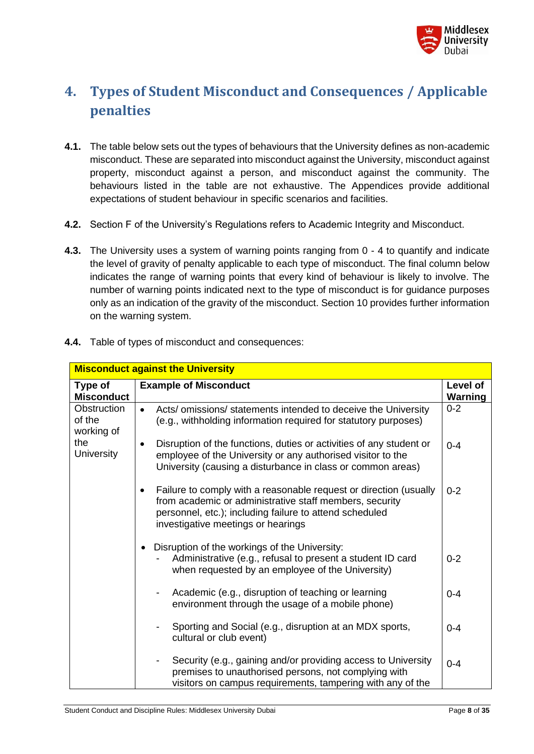

# <span id="page-7-0"></span>**4. Types of Student Misconduct and Consequences / Applicable penalties**

- **4.1.** The table below sets out the types of behaviours that the University defines as non-academic misconduct. These are separated into misconduct against the University, misconduct against property, misconduct against a person, and misconduct against the community. The behaviours listed in the table are not exhaustive. The Appendices provide additional expectations of student behaviour in specific scenarios and facilities.
- **4.2.** Section F of the University's Regulations refers to Academic Integrity and Misconduct.
- **4.3.** The University uses a system of warning points ranging from 0 4 to quantify and indicate the level of gravity of penalty applicable to each type of misconduct. The final column below indicates the range of warning points that every kind of behaviour is likely to involve. The number of warning points indicated next to the type of misconduct is for guidance purposes only as an indication of the gravity of the misconduct. Section 10 provides further information on the warning system.

| <b>Misconduct against the University</b> |                                                                                                                                                                                                                                    |                     |
|------------------------------------------|------------------------------------------------------------------------------------------------------------------------------------------------------------------------------------------------------------------------------------|---------------------|
| Type of<br><b>Misconduct</b>             | <b>Example of Misconduct</b>                                                                                                                                                                                                       | Level of<br>Warning |
| Obstruction<br>of the<br>working of      | Acts/ omissions/ statements intended to deceive the University<br>$\bullet$<br>(e.g., withholding information required for statutory purposes)                                                                                     | $0 - 2$             |
| the<br><b>University</b>                 | Disruption of the functions, duties or activities of any student or<br>$\bullet$<br>employee of the University or any authorised visitor to the<br>University (causing a disturbance in class or common areas)                     | $0 - 4$             |
|                                          | Failure to comply with a reasonable request or direction (usually<br>٠<br>from academic or administrative staff members, security<br>personnel, etc.); including failure to attend scheduled<br>investigative meetings or hearings | $0 - 2$             |
|                                          | Disruption of the workings of the University:<br>$\bullet$<br>Administrative (e.g., refusal to present a student ID card<br>when requested by an employee of the University)                                                       | $0 - 2$             |
|                                          | Academic (e.g., disruption of teaching or learning<br>$\blacksquare$<br>environment through the usage of a mobile phone)                                                                                                           | $0 - 4$             |
|                                          | Sporting and Social (e.g., disruption at an MDX sports,<br>cultural or club event)                                                                                                                                                 | $0 - 4$             |
|                                          | Security (e.g., gaining and/or providing access to University<br>premises to unauthorised persons, not complying with<br>visitors on campus requirements, tampering with any of the                                                | $0 - 4$             |

**4.4.** Table of types of misconduct and consequences: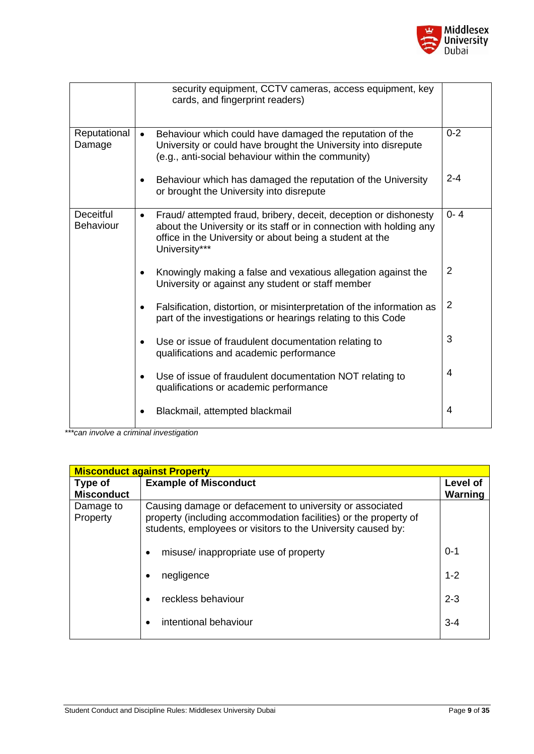

|                                      | security equipment, CCTV cameras, access equipment, key<br>cards, and fingerprint readers)                                                                                                                                       |                |
|--------------------------------------|----------------------------------------------------------------------------------------------------------------------------------------------------------------------------------------------------------------------------------|----------------|
| Reputational<br>Damage               | Behaviour which could have damaged the reputation of the<br>$\bullet$<br>University or could have brought the University into disrepute<br>(e.g., anti-social behaviour within the community)                                    | $0 - 2$        |
|                                      | Behaviour which has damaged the reputation of the University<br>or brought the University into disrepute                                                                                                                         | $2 - 4$        |
| <b>Deceitful</b><br><b>Behaviour</b> | Fraud/attempted fraud, bribery, deceit, deception or dishonesty<br>$\bullet$<br>about the University or its staff or in connection with holding any<br>office in the University or about being a student at the<br>University*** | $0 - 4$        |
|                                      | Knowingly making a false and vexatious allegation against the<br>University or against any student or staff member                                                                                                               | $\overline{2}$ |
|                                      | Falsification, distortion, or misinterpretation of the information as<br>part of the investigations or hearings relating to this Code                                                                                            | $\overline{2}$ |
|                                      | Use or issue of fraudulent documentation relating to<br>qualifications and academic performance                                                                                                                                  | 3              |
|                                      | Use of issue of fraudulent documentation NOT relating to<br>qualifications or academic performance                                                                                                                               | 4              |
|                                      | Blackmail, attempted blackmail                                                                                                                                                                                                   | 4              |

| <b>Misconduct against Property</b> |                                                                                                                                                                                              |                     |  |
|------------------------------------|----------------------------------------------------------------------------------------------------------------------------------------------------------------------------------------------|---------------------|--|
| Type of<br><b>Misconduct</b>       | <b>Example of Misconduct</b>                                                                                                                                                                 | Level of<br>Warning |  |
| Damage to<br>Property              | Causing damage or defacement to university or associated<br>property (including accommodation facilities) or the property of<br>students, employees or visitors to the University caused by: |                     |  |
|                                    | misuse/inappropriate use of property<br>٠                                                                                                                                                    | $0 - 1$             |  |
|                                    | negligence                                                                                                                                                                                   | $1 - 2$             |  |
|                                    | reckless behaviour                                                                                                                                                                           | $2 - 3$             |  |
|                                    | intentional behaviour                                                                                                                                                                        | $3 - 4$             |  |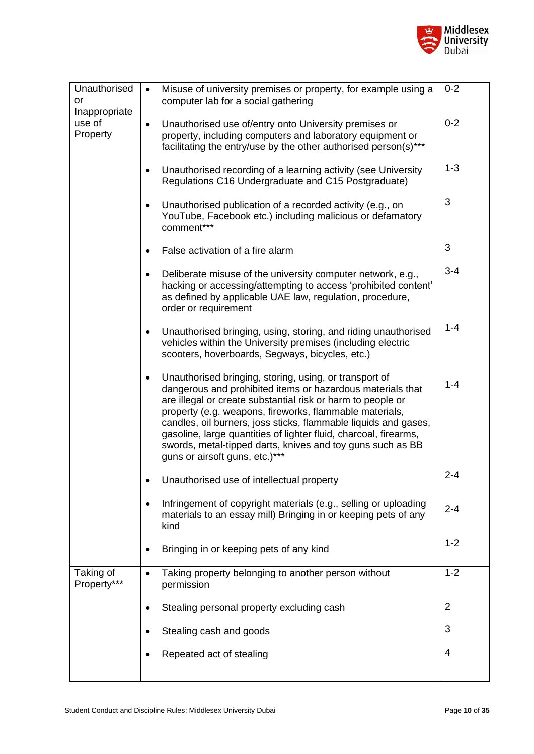

| Unauthorised<br>or<br>Inappropriate | Misuse of university premises or property, for example using a<br>$\bullet$<br>computer lab for a social gathering                                                                                                                                                                                                                                                                                                                                                                                 | $0 - 2$        |
|-------------------------------------|----------------------------------------------------------------------------------------------------------------------------------------------------------------------------------------------------------------------------------------------------------------------------------------------------------------------------------------------------------------------------------------------------------------------------------------------------------------------------------------------------|----------------|
| use of<br>Property                  | Unauthorised use of/entry onto University premises or<br>$\bullet$<br>property, including computers and laboratory equipment or<br>facilitating the entry/use by the other authorised person(s)***                                                                                                                                                                                                                                                                                                 | $0 - 2$        |
|                                     | Unauthorised recording of a learning activity (see University<br>$\bullet$<br>Regulations C16 Undergraduate and C15 Postgraduate)                                                                                                                                                                                                                                                                                                                                                                  | $1 - 3$        |
|                                     | Unauthorised publication of a recorded activity (e.g., on<br>$\bullet$<br>YouTube, Facebook etc.) including malicious or defamatory<br>comment***                                                                                                                                                                                                                                                                                                                                                  | 3              |
|                                     | False activation of a fire alarm                                                                                                                                                                                                                                                                                                                                                                                                                                                                   | 3              |
|                                     | Deliberate misuse of the university computer network, e.g.,<br>$\bullet$<br>hacking or accessing/attempting to access 'prohibited content'<br>as defined by applicable UAE law, regulation, procedure,<br>order or requirement                                                                                                                                                                                                                                                                     | $3 - 4$        |
|                                     | Unauthorised bringing, using, storing, and riding unauthorised<br>$\bullet$<br>vehicles within the University premises (including electric<br>scooters, hoverboards, Segways, bicycles, etc.)                                                                                                                                                                                                                                                                                                      | $1 - 4$        |
|                                     | Unauthorised bringing, storing, using, or transport of<br>$\bullet$<br>dangerous and prohibited items or hazardous materials that<br>are illegal or create substantial risk or harm to people or<br>property (e.g. weapons, fireworks, flammable materials,<br>candles, oil burners, joss sticks, flammable liquids and gases,<br>gasoline, large quantities of lighter fluid, charcoal, firearms,<br>swords, metal-tipped darts, knives and toy guns such as BB<br>guns or airsoft guns, etc.)*** | $1 - 4$        |
|                                     | Unauthorised use of intellectual property                                                                                                                                                                                                                                                                                                                                                                                                                                                          | $2 - 4$        |
|                                     | Infringement of copyright materials (e.g., selling or uploading<br>materials to an essay mill) Bringing in or keeping pets of any<br>kind                                                                                                                                                                                                                                                                                                                                                          | $2 - 4$        |
|                                     | Bringing in or keeping pets of any kind                                                                                                                                                                                                                                                                                                                                                                                                                                                            | $1 - 2$        |
| Taking of<br>Property***            | Taking property belonging to another person without<br>$\bullet$<br>permission                                                                                                                                                                                                                                                                                                                                                                                                                     | $1 - 2$        |
|                                     | Stealing personal property excluding cash                                                                                                                                                                                                                                                                                                                                                                                                                                                          | $\overline{2}$ |
|                                     | Stealing cash and goods                                                                                                                                                                                                                                                                                                                                                                                                                                                                            | 3              |
|                                     | Repeated act of stealing                                                                                                                                                                                                                                                                                                                                                                                                                                                                           | 4              |
|                                     |                                                                                                                                                                                                                                                                                                                                                                                                                                                                                                    |                |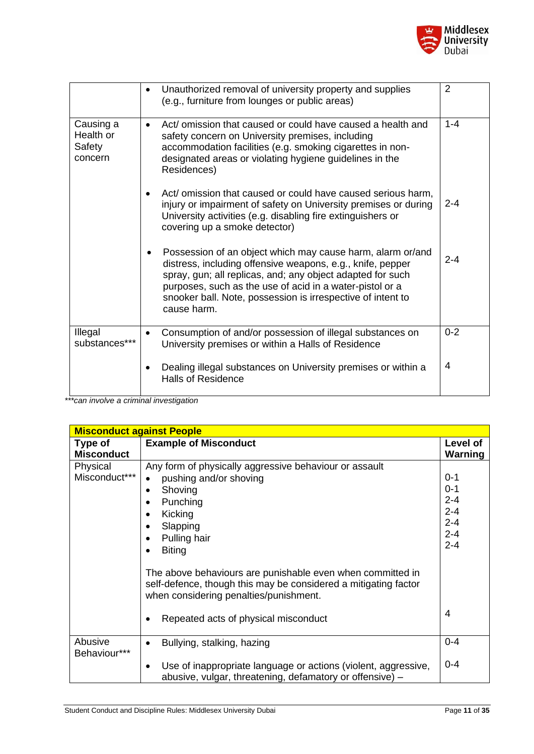

|                                             | Unauthorized removal of university property and supplies<br>(e.g., furniture from lounges or public areas)                                                                                                                                                                                                                       | $\overline{2}$ |
|---------------------------------------------|----------------------------------------------------------------------------------------------------------------------------------------------------------------------------------------------------------------------------------------------------------------------------------------------------------------------------------|----------------|
| Causing a<br>Health or<br>Safety<br>concern | Act/ omission that caused or could have caused a health and<br>safety concern on University premises, including<br>accommodation facilities (e.g. smoking cigarettes in non-<br>designated areas or violating hygiene guidelines in the<br>Residences)                                                                           | $1 - 4$        |
|                                             | Act/ omission that caused or could have caused serious harm,<br>injury or impairment of safety on University premises or during<br>University activities (e.g. disabling fire extinguishers or<br>covering up a smoke detector)                                                                                                  | $2 - 4$        |
|                                             | Possession of an object which may cause harm, alarm or/and<br>distress, including offensive weapons, e.g., knife, pepper<br>spray, gun; all replicas, and; any object adapted for such<br>purposes, such as the use of acid in a water-pistol or a<br>snooker ball. Note, possession is irrespective of intent to<br>cause harm. | $2 - 4$        |
| Illegal<br>substances***                    | Consumption of and/or possession of illegal substances on<br>$\bullet$<br>University premises or within a Halls of Residence                                                                                                                                                                                                     | $0 - 2$        |
|                                             | Dealing illegal substances on University premises or within a<br><b>Halls of Residence</b>                                                                                                                                                                                                                                       | 4              |

| <b>Misconduct against People</b> |                                                                                                                                                                         |                |
|----------------------------------|-------------------------------------------------------------------------------------------------------------------------------------------------------------------------|----------------|
| Type of                          | <b>Example of Misconduct</b>                                                                                                                                            | Level of       |
| <b>Misconduct</b>                |                                                                                                                                                                         | <b>Warning</b> |
| Physical                         | Any form of physically aggressive behaviour or assault                                                                                                                  |                |
| Misconduct***                    | pushing and/or shoving                                                                                                                                                  | $0 - 1$        |
|                                  | Shoving<br>$\bullet$                                                                                                                                                    | $0 - 1$        |
|                                  | Punching                                                                                                                                                                | $2 - 4$        |
|                                  | Kicking                                                                                                                                                                 | $2 - 4$        |
|                                  | Slapping<br>$\bullet$                                                                                                                                                   | $2 - 4$        |
|                                  | Pulling hair                                                                                                                                                            | $2 - 4$        |
|                                  | <b>Biting</b><br>$\bullet$                                                                                                                                              | $2 - 4$        |
|                                  |                                                                                                                                                                         |                |
|                                  | The above behaviours are punishable even when committed in<br>self-defence, though this may be considered a mitigating factor<br>when considering penalties/punishment. |                |
|                                  | Repeated acts of physical misconduct<br>٠                                                                                                                               | 4              |
| Abusive<br>Behaviour***          | Bullying, stalking, hazing<br>$\bullet$                                                                                                                                 | $0 - 4$        |
|                                  | Use of inappropriate language or actions (violent, aggressive,<br>$\bullet$<br>abusive, vulgar, threatening, defamatory or offensive) -                                 | $0 - 4$        |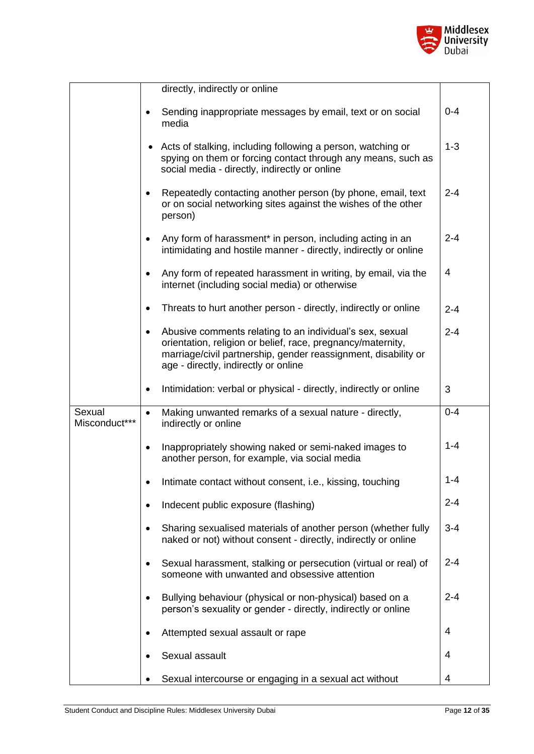

|                         | directly, indirectly or online                                                                                                                                                                                                                 |         |
|-------------------------|------------------------------------------------------------------------------------------------------------------------------------------------------------------------------------------------------------------------------------------------|---------|
|                         | Sending inappropriate messages by email, text or on social<br>media                                                                                                                                                                            | $0 - 4$ |
|                         | Acts of stalking, including following a person, watching or<br>٠<br>spying on them or forcing contact through any means, such as<br>social media - directly, indirectly or online                                                              | $1 - 3$ |
|                         | Repeatedly contacting another person (by phone, email, text<br>$\bullet$<br>or on social networking sites against the wishes of the other<br>person)                                                                                           | $2 - 4$ |
|                         | Any form of harassment* in person, including acting in an<br>$\bullet$<br>intimidating and hostile manner - directly, indirectly or online                                                                                                     | $2 - 4$ |
|                         | Any form of repeated harassment in writing, by email, via the<br>$\bullet$<br>internet (including social media) or otherwise                                                                                                                   | 4       |
|                         | Threats to hurt another person - directly, indirectly or online                                                                                                                                                                                | $2 - 4$ |
|                         | Abusive comments relating to an individual's sex, sexual<br>$\bullet$<br>orientation, religion or belief, race, pregnancy/maternity,<br>marriage/civil partnership, gender reassignment, disability or<br>age - directly, indirectly or online | $2 - 4$ |
|                         | Intimidation: verbal or physical - directly, indirectly or online<br>٠                                                                                                                                                                         | 3       |
| Sexual<br>Misconduct*** | Making unwanted remarks of a sexual nature - directly,<br>$\bullet$<br>indirectly or online                                                                                                                                                    | $0 - 4$ |
|                         | Inappropriately showing naked or semi-naked images to<br>٠<br>another person, for example, via social media                                                                                                                                    | $1 - 4$ |
|                         | Intimate contact without consent, i.e., kissing, touching                                                                                                                                                                                      | $1 - 4$ |
|                         | Indecent public exposure (flashing)                                                                                                                                                                                                            | $2 - 4$ |
|                         | Sharing sexualised materials of another person (whether fully<br>$\bullet$<br>naked or not) without consent - directly, indirectly or online                                                                                                   | $3 - 4$ |
|                         | Sexual harassment, stalking or persecution (virtual or real) of<br>$\bullet$<br>someone with unwanted and obsessive attention                                                                                                                  | $2 - 4$ |
|                         | Bullying behaviour (physical or non-physical) based on a<br>person's sexuality or gender - directly, indirectly or online                                                                                                                      | $2 - 4$ |
|                         | Attempted sexual assault or rape                                                                                                                                                                                                               | 4       |
|                         | Sexual assault                                                                                                                                                                                                                                 | 4       |
|                         | Sexual intercourse or engaging in a sexual act without                                                                                                                                                                                         | 4       |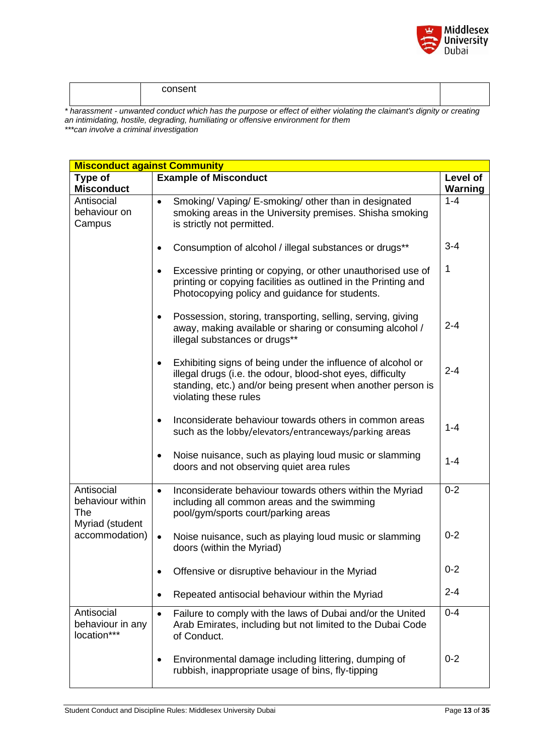

*\* harassment - unwanted conduct which has the purpose or effect of either violating the claimant's dignity or creating an intimidating, hostile, degrading, humiliating or offensive environment for them*

| <b>Misconduct against Community</b>           |                                                                                                                                                                                                                                |          |
|-----------------------------------------------|--------------------------------------------------------------------------------------------------------------------------------------------------------------------------------------------------------------------------------|----------|
| Type of                                       | <b>Example of Misconduct</b>                                                                                                                                                                                                   | Level of |
| <b>Misconduct</b>                             |                                                                                                                                                                                                                                | Warning  |
| Antisocial<br>behaviour on<br>Campus          | Smoking/ Vaping/ E-smoking/ other than in designated<br>$\bullet$<br>smoking areas in the University premises. Shisha smoking<br>is strictly not permitted.                                                                    | $1 - 4$  |
|                                               | Consumption of alcohol / illegal substances or drugs**<br>$\bullet$                                                                                                                                                            | $3 - 4$  |
|                                               | Excessive printing or copying, or other unauthorised use of<br>$\bullet$<br>printing or copying facilities as outlined in the Printing and<br>Photocopying policy and guidance for students.                                   | 1        |
|                                               | Possession, storing, transporting, selling, serving, giving<br>$\bullet$<br>away, making available or sharing or consuming alcohol /<br>illegal substances or drugs**                                                          | $2 - 4$  |
|                                               | Exhibiting signs of being under the influence of alcohol or<br>$\bullet$<br>illegal drugs (i.e. the odour, blood-shot eyes, difficulty<br>standing, etc.) and/or being present when another person is<br>violating these rules | $2 - 4$  |
|                                               | Inconsiderate behaviour towards others in common areas<br>$\bullet$<br>such as the lobby/elevators/entranceways/parking areas                                                                                                  | $1 - 4$  |
|                                               | Noise nuisance, such as playing loud music or slamming<br>$\bullet$<br>doors and not observing quiet area rules                                                                                                                | $1 - 4$  |
| Antisocial<br>behaviour within<br><b>The</b>  | Inconsiderate behaviour towards others within the Myriad<br>$\bullet$<br>including all common areas and the swimming<br>pool/gym/sports court/parking areas                                                                    | $0 - 2$  |
| Myriad (student<br>accommodation)             | Noise nuisance, such as playing loud music or slamming<br>$\bullet$<br>doors (within the Myriad)                                                                                                                               | $0 - 2$  |
|                                               | Offensive or disruptive behaviour in the Myriad                                                                                                                                                                                | $0 - 2$  |
|                                               | Repeated antisocial behaviour within the Myriad<br>٠                                                                                                                                                                           | $2 - 4$  |
| Antisocial<br>behaviour in any<br>location*** | Failure to comply with the laws of Dubai and/or the United<br>$\bullet$<br>Arab Emirates, including but not limited to the Dubai Code<br>of Conduct.                                                                           | $0 - 4$  |
|                                               | Environmental damage including littering, dumping of<br>$\bullet$<br>rubbish, inappropriate usage of bins, fly-tipping                                                                                                         | $0 - 2$  |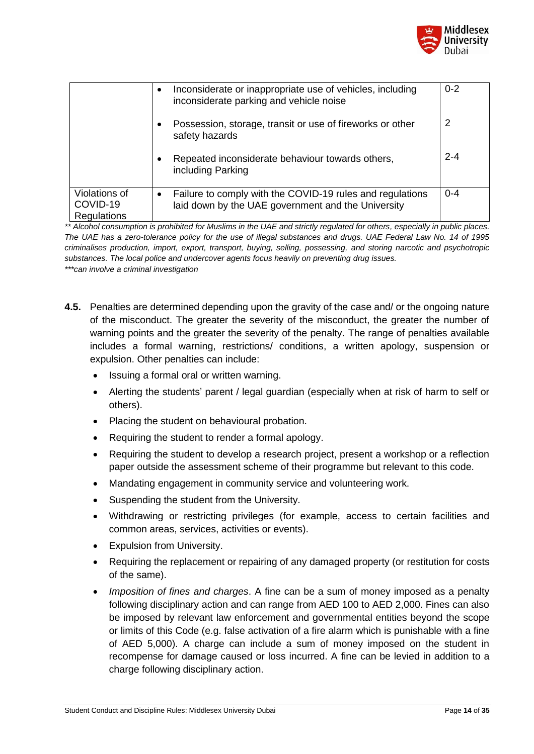

|                                                 | Inconsiderate or inappropriate use of vehicles, including<br>$\bullet$<br>inconsiderate parking and vehicle noise | $0 - 2$ |
|-------------------------------------------------|-------------------------------------------------------------------------------------------------------------------|---------|
|                                                 | Possession, storage, transit or use of fireworks or other<br>٠<br>safety hazards                                  | 2       |
|                                                 | Repeated inconsiderate behaviour towards others,<br>$\bullet$<br>including Parking                                | $2 - 4$ |
| Violations of<br>COVID-19<br><b>Regulations</b> | Failure to comply with the COVID-19 rules and regulations<br>laid down by the UAE government and the University   | $0 - 4$ |

*\*\* Alcohol consumption is prohibited for Muslims in the UAE and strictly regulated for others, especially in public places. The UAE has a zero-tolerance policy for the use of illegal substances and drugs. UAE Federal Law No. 14 of 1995 criminalises production, import, export, transport, buying, selling, possessing, and storing narcotic and psychotropic substances. The local police and undercover agents focus heavily on preventing drug issues.* 

- **4.5.** Penalties are determined depending upon the gravity of the case and/ or the ongoing nature of the misconduct. The greater the severity of the misconduct, the greater the number of warning points and the greater the severity of the penalty. The range of penalties available includes a formal warning, restrictions/ conditions, a written apology, suspension or expulsion. Other penalties can include:
	- Issuing a formal oral or written warning.
	- Alerting the students' parent / legal guardian (especially when at risk of harm to self or others).
	- Placing the student on behavioural probation.
	- Requiring the student to render a formal apology.
	- Requiring the student to develop a research project, present a workshop or a reflection paper outside the assessment scheme of their programme but relevant to this code.
	- Mandating engagement in community service and volunteering work.
	- Suspending the student from the University.
	- Withdrawing or restricting privileges (for example, access to certain facilities and common areas, services, activities or events).
	- Expulsion from University.
	- Requiring the replacement or repairing of any damaged property (or restitution for costs of the same).
	- *Imposition of fines and charges*. A fine can be a sum of money imposed as a penalty following disciplinary action and can range from AED 100 to AED 2,000. Fines can also be imposed by relevant law enforcement and governmental entities beyond the scope or limits of this Code (e.g. false activation of a fire alarm which is punishable with a fine of AED 5,000). A charge can include a sum of money imposed on the student in recompense for damage caused or loss incurred. A fine can be levied in addition to a charge following disciplinary action.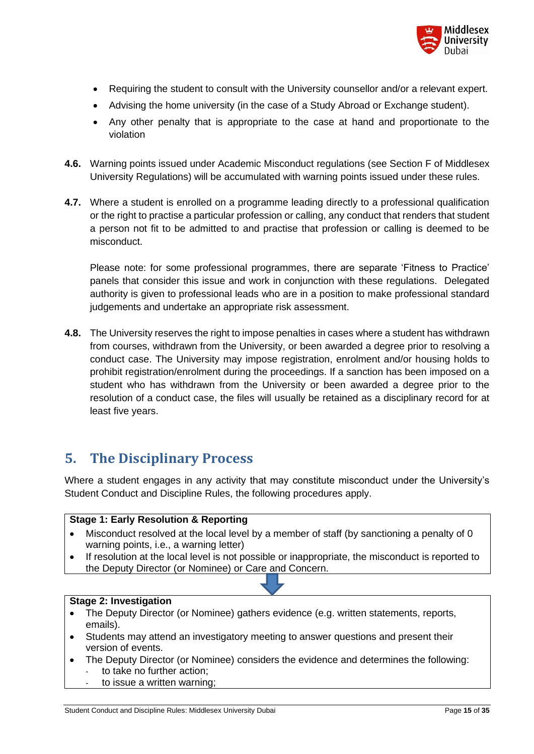

- Requiring the student to consult with the University counsellor and/or a relevant expert.
- Advising the home university (in the case of a Study Abroad or Exchange student).
- Any other penalty that is appropriate to the case at hand and proportionate to the violation
- **4.6.** Warning points issued under Academic Misconduct regulations (see Section F of Middlesex University Regulations) will be accumulated with warning points issued under these rules.
- **4.7.** Where a student is enrolled on a programme leading directly to a professional qualification or the right to practise a particular profession or calling, any conduct that renders that student a person not fit to be admitted to and practise that profession or calling is deemed to be misconduct.

Please note: for some professional programmes, there are separate 'Fitness to Practice' panels that consider this issue and work in conjunction with these regulations. Delegated authority is given to professional leads who are in a position to make professional standard judgements and undertake an appropriate risk assessment.

**4.8.** The University reserves the right to impose penalties in cases where a student has withdrawn from courses, withdrawn from the University, or been awarded a degree prior to resolving a conduct case. The University may impose registration, enrolment and/or housing holds to prohibit registration/enrolment during the proceedings. If a sanction has been imposed on a student who has withdrawn from the University or been awarded a degree prior to the resolution of a conduct case, the files will usually be retained as a disciplinary record for at least five years.

### <span id="page-14-0"></span>**5. The Disciplinary Process**

Where a student engages in any activity that may constitute misconduct under the University's Student Conduct and Discipline Rules, the following procedures apply.

#### **Stage 1: Early Resolution & Reporting**

- Misconduct resolved at the local level by a member of staff (by sanctioning a penalty of 0 warning points, i.e., a warning letter)
- If resolution at the local level is not possible or inappropriate, the misconduct is reported to the Deputy Director (or Nominee) or Care and Concern.

#### **Stage 2: Investigation**

- The Deputy Director (or Nominee) gathers evidence (e.g. written statements, reports, emails).
- Students may attend an investigatory meeting to answer questions and present their version of events.
- The Deputy Director (or Nominee) considers the evidence and determines the following: to take no further action;
	- to issue a written warning;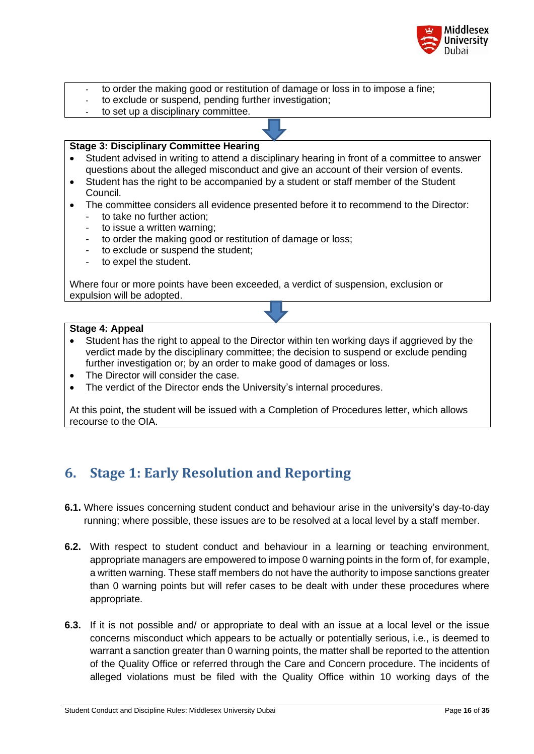

- to order the making good or restitution of damage or loss in to impose a fine;
- to exclude or suspend, pending further investigation;
- to set up a disciplinary committee.

#### **Stage 3: Disciplinary Committee Hearing**

- Student advised in writing to attend a disciplinary hearing in front of a committee to answer questions about the alleged misconduct and give an account of their version of events.
- Student has the right to be accompanied by a student or staff member of the Student Council.
- The committee considers all evidence presented before it to recommend to the Director:
	- to take no further action;
	- to issue a written warning;
	- to order the making good or restitution of damage or loss;
	- to exclude or suspend the student;
	- to expel the student.

Where four or more points have been exceeded, a verdict of suspension, exclusion or expulsion will be adopted.

#### **Stage 4: Appeal**

- Student has the right to appeal to the Director within ten working days if aggrieved by the verdict made by the disciplinary committee; the decision to suspend or exclude pending further investigation or; by an order to make good of damages or loss.
- The Director will consider the case.
- The verdict of the Director ends the University's internal procedures.

At this point, the student will be issued with a Completion of Procedures letter, which allows recourse to the OIA.

### <span id="page-15-0"></span>**6. Stage 1: Early Resolution and Reporting**

- **6.1.** Where issues concerning student conduct and behaviour arise in the university's day-to-day running; where possible, these issues are to be resolved at a local level by a staff member.
- **6.2.** With respect to student conduct and behaviour in a learning or teaching environment, appropriate managers are empowered to impose 0 warning points in the form of, for example, a written warning. These staff members do not have the authority to impose sanctions greater than 0 warning points but will refer cases to be dealt with under these procedures where appropriate.
- **6.3.** If it is not possible and/ or appropriate to deal with an issue at a local level or the issue concerns misconduct which appears to be actually or potentially serious, i.e., is deemed to warrant a sanction greater than 0 warning points, the matter shall be reported to the attention of the Quality Office or referred through the Care and Concern procedure. The incidents of alleged violations must be filed with the Quality Office within 10 working days of the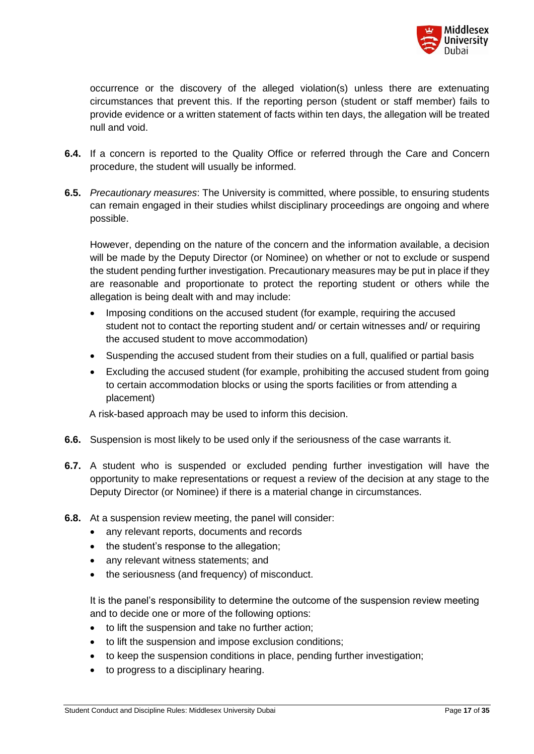

occurrence or the discovery of the alleged violation(s) unless there are extenuating circumstances that prevent this. If the reporting person (student or staff member) fails to provide evidence or a written statement of facts within ten days, the allegation will be treated null and void.

- **6.4.** If a concern is reported to the Quality Office or referred through the Care and Concern procedure, the student will usually be informed.
- **6.5.** *Precautionary measures*: The University is committed, where possible, to ensuring students can remain engaged in their studies whilst disciplinary proceedings are ongoing and where possible.

However, depending on the nature of the concern and the information available, a decision will be made by the Deputy Director (or Nominee) on whether or not to exclude or suspend the student pending further investigation. Precautionary measures may be put in place if they are reasonable and proportionate to protect the reporting student or others while the allegation is being dealt with and may include:

- Imposing conditions on the accused student (for example, requiring the accused student not to contact the reporting student and/ or certain witnesses and/ or requiring the accused student to move accommodation)
- Suspending the accused student from their studies on a full, qualified or partial basis
- Excluding the accused student (for example, prohibiting the accused student from going to certain accommodation blocks or using the sports facilities or from attending a placement)

A risk-based approach may be used to inform this decision.

- **6.6.** Suspension is most likely to be used only if the seriousness of the case warrants it.
- **6.7.** A student who is suspended or excluded pending further investigation will have the opportunity to make representations or request a review of the decision at any stage to the Deputy Director (or Nominee) if there is a material change in circumstances.
- **6.8.** At a suspension review meeting, the panel will consider:
	- any relevant reports, documents and records
	- the student's response to the allegation:
	- any relevant witness statements; and
	- the seriousness (and frequency) of misconduct.

It is the panel's responsibility to determine the outcome of the suspension review meeting and to decide one or more of the following options:

- to lift the suspension and take no further action;
- to lift the suspension and impose exclusion conditions;
- to keep the suspension conditions in place, pending further investigation;
- to progress to a disciplinary hearing.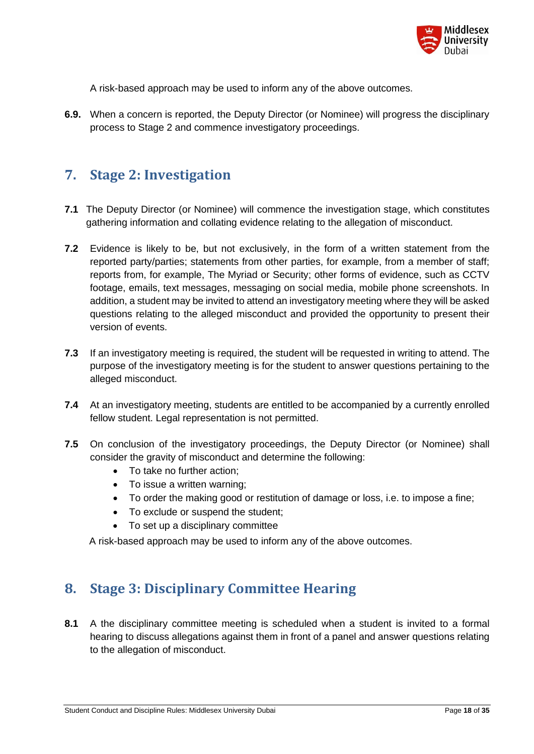

A risk-based approach may be used to inform any of the above outcomes.

**6.9.** When a concern is reported, the Deputy Director (or Nominee) will progress the disciplinary process to Stage 2 and commence investigatory proceedings.

### <span id="page-17-0"></span>**7. Stage 2: Investigation**

- **7.1** The Deputy Director (or Nominee) will commence the investigation stage, which constitutes gathering information and collating evidence relating to the allegation of misconduct.
- **7.2** Evidence is likely to be, but not exclusively, in the form of a written statement from the reported party/parties; statements from other parties, for example, from a member of staff; reports from, for example, The Myriad or Security; other forms of evidence, such as CCTV footage, emails, text messages, messaging on social media, mobile phone screenshots. In addition, a student may be invited to attend an investigatory meeting where they will be asked questions relating to the alleged misconduct and provided the opportunity to present their version of events.
- **7.3** If an investigatory meeting is required, the student will be requested in writing to attend. The purpose of the investigatory meeting is for the student to answer questions pertaining to the alleged misconduct.
- **7.4** At an investigatory meeting, students are entitled to be accompanied by a currently enrolled fellow student. Legal representation is not permitted.
- **7.5** On conclusion of the investigatory proceedings, the Deputy Director (or Nominee) shall consider the gravity of misconduct and determine the following:
	- To take no further action;
	- To issue a written warning;
	- To order the making good or restitution of damage or loss, i.e. to impose a fine;
	- To exclude or suspend the student;
	- To set up a disciplinary committee

A risk-based approach may be used to inform any of the above outcomes.

### <span id="page-17-1"></span>**8. Stage 3: Disciplinary Committee Hearing**

**8.1** A the disciplinary committee meeting is scheduled when a student is invited to a formal hearing to discuss allegations against them in front of a panel and answer questions relating to the allegation of misconduct.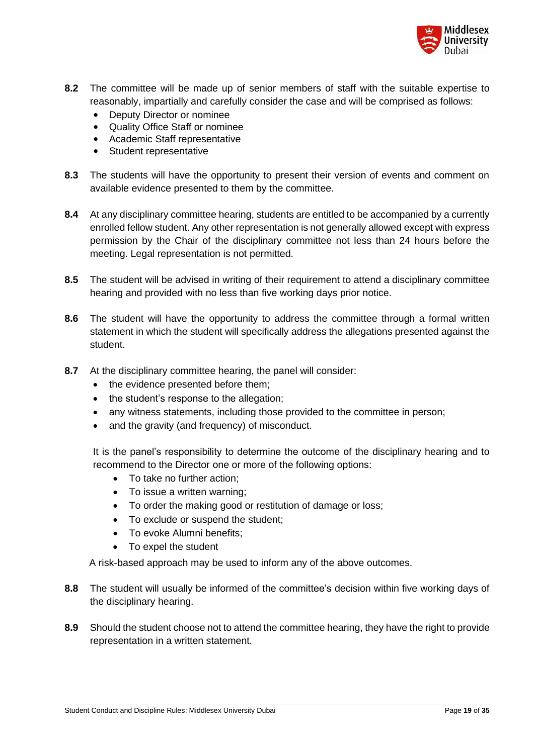

- **8.2** The committee will be made up of senior members of staff with the suitable expertise to reasonably, impartially and carefully consider the case and will be comprised as follows:
	- Deputy Director or nominee
	- Quality Office Staff or nominee
	- Academic Staff representative
	- Student representative
- **8.3** The students will have the opportunity to present their version of events and comment on available evidence presented to them by the committee.
- **8.4** At any disciplinary committee hearing, students are entitled to be accompanied by a currently enrolled fellow student. Any other representation is not generally allowed except with express permission by the Chair of the disciplinary committee not less than 24 hours before the meeting. Legal representation is not permitted.
- **8.5** The student will be advised in writing of their requirement to attend a disciplinary committee hearing and provided with no less than five working days prior notice.
- **8.6** The student will have the opportunity to address the committee through a formal written statement in which the student will specifically address the allegations presented against the student.
- **8.7** At the disciplinary committee hearing, the panel will consider:
	- the evidence presented before them;
	- the student's response to the allegation;
	- any witness statements, including those provided to the committee in person;
	- and the gravity (and frequency) of misconduct.

It is the panel's responsibility to determine the outcome of the disciplinary hearing and to recommend to the Director one or more of the following options:

- To take no further action:
- To issue a written warning;
- To order the making good or restitution of damage or loss;
- To exclude or suspend the student;
- To evoke Alumni benefits;
- To expel the student

A risk-based approach may be used to inform any of the above outcomes.

- **8.8** The student will usually be informed of the committee's decision within five working days of the disciplinary hearing.
- **8.9** Should the student choose not to attend the committee hearing, they have the right to provide representation in a written statement.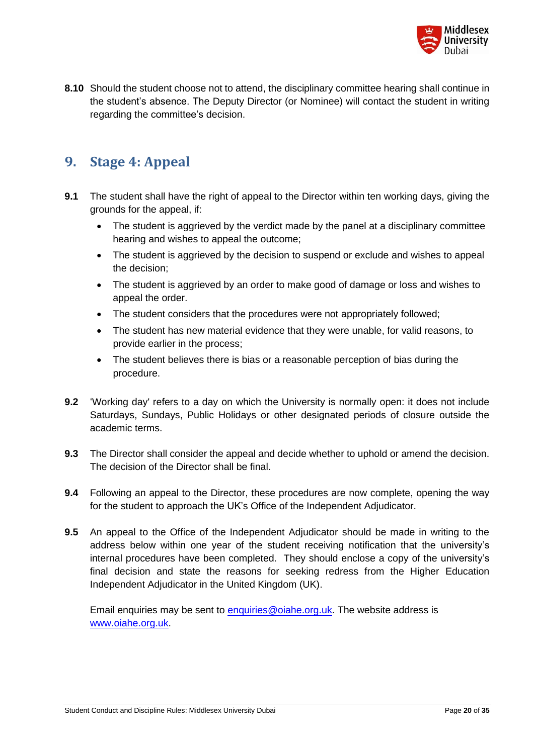

**8.10** Should the student choose not to attend, the disciplinary committee hearing shall continue in the student's absence. The Deputy Director (or Nominee) will contact the student in writing regarding the committee's decision.

### <span id="page-19-0"></span>**9. Stage 4: Appeal**

- **9.1** The student shall have the right of appeal to the Director within ten working days, giving the grounds for the appeal, if:
	- The student is aggrieved by the verdict made by the panel at a disciplinary committee hearing and wishes to appeal the outcome;
	- The student is aggrieved by the decision to suspend or exclude and wishes to appeal the decision;
	- The student is aggrieved by an order to make good of damage or loss and wishes to appeal the order.
	- The student considers that the procedures were not appropriately followed;
	- The student has new material evidence that they were unable, for valid reasons, to provide earlier in the process;
	- The student believes there is bias or a reasonable perception of bias during the procedure.
- **9.2** 'Working day' refers to a day on which the University is normally open: it does not include Saturdays, Sundays, Public Holidays or other designated periods of closure outside the academic terms.
- **9.3** The Director shall consider the appeal and decide whether to uphold or amend the decision. The decision of the Director shall be final.
- **9.4** Following an appeal to the Director, these procedures are now complete, opening the way for the student to approach the UK's Office of the Independent Adjudicator.
- **9.5** An appeal to the Office of the Independent Adjudicator should be made in writing to the address below within one year of the student receiving notification that the university's internal procedures have been completed. They should enclose a copy of the university's final decision and state the reasons for seeking redress from the Higher Education Independent Adjudicator in the United Kingdom (UK).

Email enquiries may be sent to [enquiries@oiahe.org.uk.](mailto:enquiries@oiahe.org.uk) The website address is [www.oiahe.org.uk.](http://www.oiahe.org.uk/)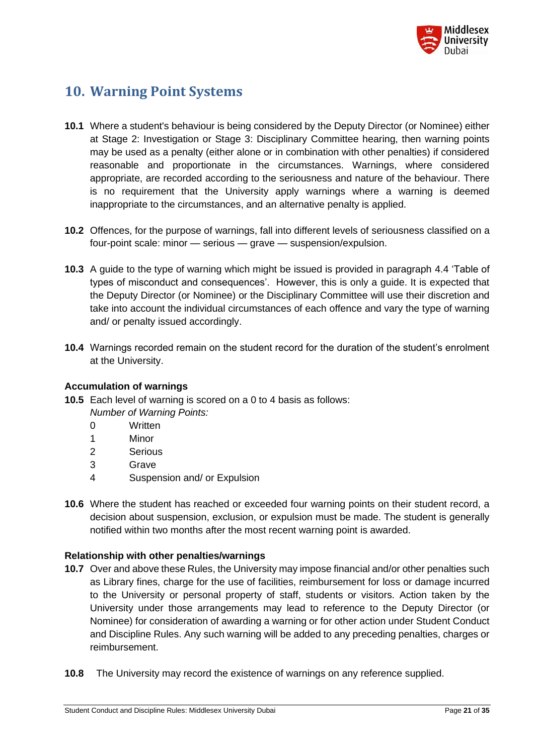

# <span id="page-20-0"></span>**10. Warning Point Systems**

- **10.1** Where a student's behaviour is being considered by the Deputy Director (or Nominee) either at Stage 2: Investigation or Stage 3: Disciplinary Committee hearing, then warning points may be used as a penalty (either alone or in combination with other penalties) if considered reasonable and proportionate in the circumstances. Warnings, where considered appropriate, are recorded according to the seriousness and nature of the behaviour. There is no requirement that the University apply warnings where a warning is deemed inappropriate to the circumstances, and an alternative penalty is applied.
- **10.2** Offences, for the purpose of warnings, fall into different levels of seriousness classified on a four-point scale: minor — serious — grave — suspension/expulsion.
- **10.3** A guide to the type of warning which might be issued is provided in paragraph 4.4 'Table of types of misconduct and consequences'. However, this is only a guide. It is expected that the Deputy Director (or Nominee) or the Disciplinary Committee will use their discretion and take into account the individual circumstances of each offence and vary the type of warning and/ or penalty issued accordingly.
- **10.4** Warnings recorded remain on the student record for the duration of the student's enrolment at the University.

#### **Accumulation of warnings**

- **10.5** Each level of warning is scored on a 0 to 4 basis as follows: *Number of Warning Points:*
	- 0 Written
	- 1 Minor
	- 2 Serious
	- 3 Grave
	- 4 Suspension and/ or Expulsion
- **10.6** Where the student has reached or exceeded four warning points on their student record, a decision about suspension, exclusion, or expulsion must be made. The student is generally notified within two months after the most recent warning point is awarded.

#### **Relationship with other penalties/warnings**

- **10.7** Over and above these Rules, the University may impose financial and/or other penalties such as Library fines, charge for the use of facilities, reimbursement for loss or damage incurred to the University or personal property of staff, students or visitors. Action taken by the University under those arrangements may lead to reference to the Deputy Director (or Nominee) for consideration of awarding a warning or for other action under Student Conduct and Discipline Rules. Any such warning will be added to any preceding penalties, charges or reimbursement.
- **10.8** The University may record the existence of warnings on any reference supplied.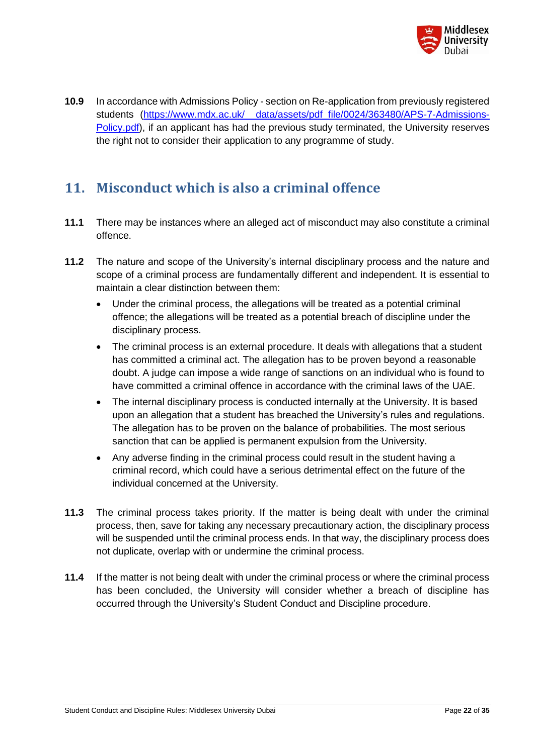

**10.9** In accordance with Admissions Policy - section on Re-application from previously registered students (https://www.mdx.ac.uk/ data/assets/pdf file/0024/363480/APS-7-Admissions-[Policy.pdf\)](https://www.mdx.ac.uk/__data/assets/pdf_file/0024/363480/APS-7-Admissions-Policy.pdf), if an applicant has had the previous study terminated, the University reserves the right not to consider their application to any programme of study.

### <span id="page-21-0"></span>**11. Misconduct which is also a criminal offence**

- **11.1** There may be instances where an alleged act of misconduct may also constitute a criminal offence.
- **11.2** The nature and scope of the University's internal disciplinary process and the nature and scope of a criminal process are fundamentally different and independent. It is essential to maintain a clear distinction between them:
	- Under the criminal process, the allegations will be treated as a potential criminal offence; the allegations will be treated as a potential breach of discipline under the disciplinary process.
	- The criminal process is an external procedure. It deals with allegations that a student has committed a criminal act. The allegation has to be proven beyond a reasonable doubt. A judge can impose a wide range of sanctions on an individual who is found to have committed a criminal offence in accordance with the criminal laws of the UAE.
	- The internal disciplinary process is conducted internally at the University. It is based upon an allegation that a student has breached the University's rules and regulations. The allegation has to be proven on the balance of probabilities. The most serious sanction that can be applied is permanent expulsion from the University.
	- Any adverse finding in the criminal process could result in the student having a criminal record, which could have a serious detrimental effect on the future of the individual concerned at the University.
- **11.3** The criminal process takes priority. If the matter is being dealt with under the criminal process, then, save for taking any necessary precautionary action, the disciplinary process will be suspended until the criminal process ends. In that way, the disciplinary process does not duplicate, overlap with or undermine the criminal process.
- **11.4** If the matter is not being dealt with under the criminal process or where the criminal process has been concluded, the University will consider whether a breach of discipline has occurred through the University's Student Conduct and Discipline procedure.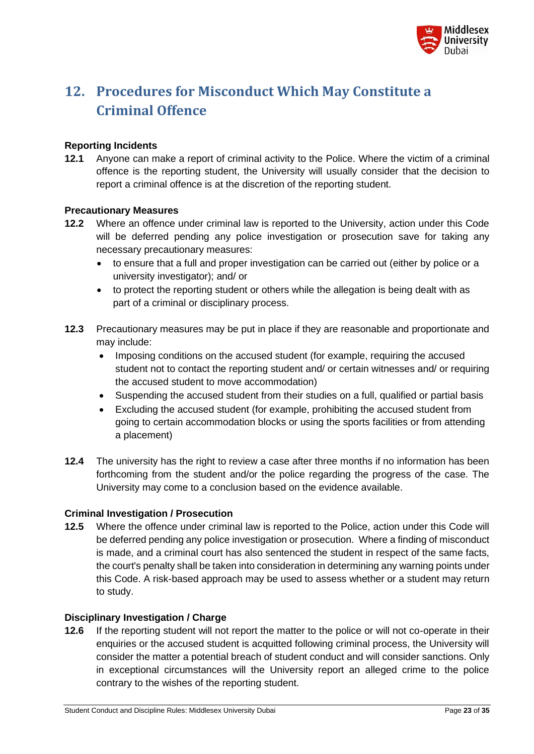

# <span id="page-22-0"></span>**12. Procedures for Misconduct Which May Constitute a Criminal Offence**

#### **Reporting Incidents**

**12.1** Anyone can make a report of criminal activity to the Police. Where the victim of a criminal offence is the reporting student, the University will usually consider that the decision to report a criminal offence is at the discretion of the reporting student.

#### **Precautionary Measures**

- **12.2** Where an offence under criminal law is reported to the University, action under this Code will be deferred pending any police investigation or prosecution save for taking any necessary precautionary measures:
	- to ensure that a full and proper investigation can be carried out (either by police or a university investigator); and/ or
	- to protect the reporting student or others while the allegation is being dealt with as part of a criminal or disciplinary process.
- **12.3** Precautionary measures may be put in place if they are reasonable and proportionate and may include:
	- Imposing conditions on the accused student (for example, requiring the accused student not to contact the reporting student and/ or certain witnesses and/ or requiring the accused student to move accommodation)
	- Suspending the accused student from their studies on a full, qualified or partial basis
	- Excluding the accused student (for example, prohibiting the accused student from going to certain accommodation blocks or using the sports facilities or from attending a placement)
- **12.4** The university has the right to review a case after three months if no information has been forthcoming from the student and/or the police regarding the progress of the case. The University may come to a conclusion based on the evidence available.

#### **Criminal Investigation / Prosecution**

**12.5** Where the offence under criminal law is reported to the Police, action under this Code will be deferred pending any police investigation or prosecution. Where a finding of misconduct is made, and a criminal court has also sentenced the student in respect of the same facts, the court's penalty shall be taken into consideration in determining any warning points under this Code. A risk-based approach may be used to assess whether or a student may return to study.

#### **Disciplinary Investigation / Charge**

**12.6** If the reporting student will not report the matter to the police or will not co-operate in their enquiries or the accused student is acquitted following criminal process, the University will consider the matter a potential breach of student conduct and will consider sanctions. Only in exceptional circumstances will the University report an alleged crime to the police contrary to the wishes of the reporting student.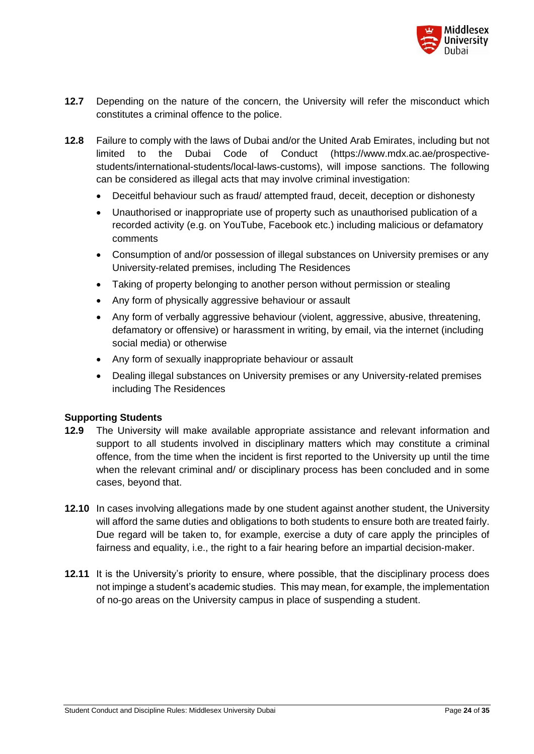

- **12.7** Depending on the nature of the concern, the University will refer the misconduct which constitutes a criminal offence to the police.
- **12.8** Failure to comply with the laws of Dubai and/or the United Arab Emirates, including but not limited to the Dubai Code of Conduct [\(https://www.mdx.ac.ae/prospective](https://www.mdx.ac.ae/prospective-students/international-students/local-laws-customs)[students/international-students/local-laws-customs\)](https://www.mdx.ac.ae/prospective-students/international-students/local-laws-customs), will impose sanctions. The following can be considered as illegal acts that may involve criminal investigation:
	- Deceitful behaviour such as fraud/ attempted fraud, deceit, deception or dishonesty
	- Unauthorised or inappropriate use of property such as unauthorised publication of a recorded activity (e.g. on YouTube, Facebook etc.) including malicious or defamatory comments
	- Consumption of and/or possession of illegal substances on University premises or any University-related premises, including The Residences
	- Taking of property belonging to another person without permission or stealing
	- Any form of physically aggressive behaviour or assault
	- Any form of verbally aggressive behaviour (violent, aggressive, abusive, threatening, defamatory or offensive) or harassment in writing, by email, via the internet (including social media) or otherwise
	- Any form of sexually inappropriate behaviour or assault
	- Dealing illegal substances on University premises or any University-related premises including The Residences

#### **Supporting Students**

- **12.9** The University will make available appropriate assistance and relevant information and support to all students involved in disciplinary matters which may constitute a criminal offence, from the time when the incident is first reported to the University up until the time when the relevant criminal and/ or disciplinary process has been concluded and in some cases, beyond that.
- **12.10** In cases involving allegations made by one student against another student, the University will afford the same duties and obligations to both students to ensure both are treated fairly. Due regard will be taken to, for example, exercise a duty of care apply the principles of fairness and equality, i.e., the right to a fair hearing before an impartial decision-maker.
- **12.11** It is the University's priority to ensure, where possible, that the disciplinary process does not impinge a student's academic studies. This may mean, for example, the implementation of no-go areas on the University campus in place of suspending a student.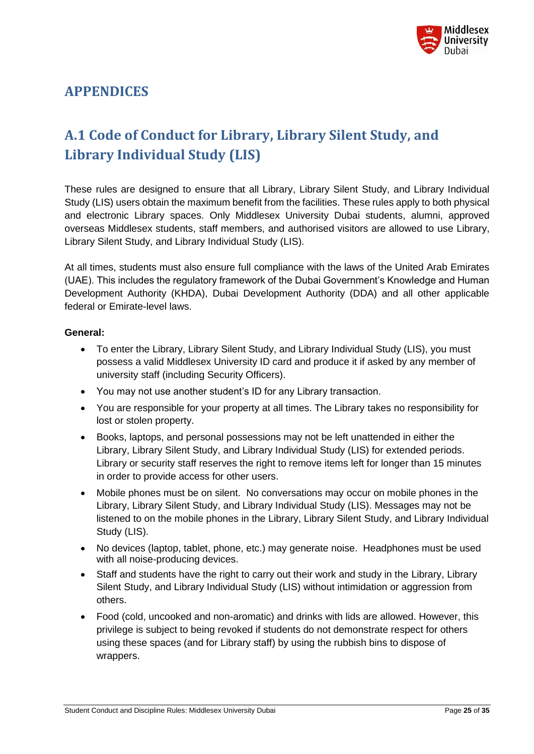

# <span id="page-24-0"></span>**APPENDICES**

# <span id="page-24-1"></span>**A.1 Code of Conduct for Library, Library Silent Study, and Library Individual Study (LIS)**

These rules are designed to ensure that all Library, Library Silent Study, and Library Individual Study (LIS) users obtain the maximum benefit from the facilities. These rules apply to both physical and electronic Library spaces. Only Middlesex University Dubai students, alumni, approved overseas Middlesex students, staff members, and authorised visitors are allowed to use Library, Library Silent Study, and Library Individual Study (LIS).

At all times, students must also ensure full compliance with the laws of the United Arab Emirates (UAE). This includes the regulatory framework of the Dubai Government's Knowledge and Human Development Authority (KHDA), Dubai Development Authority (DDA) and all other applicable federal or Emirate-level laws.

#### **General:**

- To enter the Library, Library Silent Study, and Library Individual Study (LIS), you must possess a valid Middlesex University ID card and produce it if asked by any member of university staff (including Security Officers).
- You may not use another student's ID for any Library transaction.
- You are responsible for your property at all times. The Library takes no responsibility for lost or stolen property.
- Books, laptops, and personal possessions may not be left unattended in either the Library, Library Silent Study, and Library Individual Study (LIS) for extended periods. Library or security staff reserves the right to remove items left for longer than 15 minutes in order to provide access for other users.
- Mobile phones must be on silent. No conversations may occur on mobile phones in the Library, Library Silent Study, and Library Individual Study (LIS). Messages may not be listened to on the mobile phones in the Library, Library Silent Study, and Library Individual Study (LIS).
- No devices (laptop, tablet, phone, etc.) may generate noise. Headphones must be used with all noise-producing devices.
- Staff and students have the right to carry out their work and study in the Library, Library Silent Study, and Library Individual Study (LIS) without intimidation or aggression from others.
- Food (cold, uncooked and non-aromatic) and drinks with lids are allowed. However, this privilege is subject to being revoked if students do not demonstrate respect for others using these spaces (and for Library staff) by using the rubbish bins to dispose of wrappers.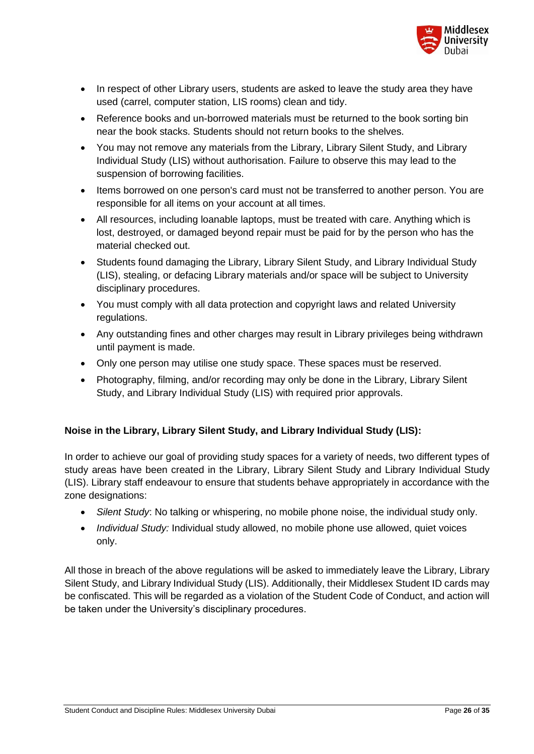

- In respect of other Library users, students are asked to leave the study area they have used (carrel, computer station, LIS rooms) clean and tidy.
- Reference books and un-borrowed materials must be returned to the book sorting bin near the book stacks. Students should not return books to the shelves.
- You may not remove any materials from the Library, Library Silent Study, and Library Individual Study (LIS) without authorisation. Failure to observe this may lead to the suspension of borrowing facilities.
- Items borrowed on one person's card must not be transferred to another person. You are responsible for all items on your account at all times.
- All resources, including loanable laptops, must be treated with care. Anything which is lost, destroyed, or damaged beyond repair must be paid for by the person who has the material checked out.
- Students found damaging the Library, Library Silent Study, and Library Individual Study (LIS), stealing, or defacing Library materials and/or space will be subject to University disciplinary procedures.
- You must comply with all data protection and copyright laws and related University regulations.
- Any outstanding fines and other charges may result in Library privileges being withdrawn until payment is made.
- Only one person may utilise one study space. These spaces must be reserved.
- Photography, filming, and/or recording may only be done in the Library, Library Silent Study, and Library Individual Study (LIS) with required prior approvals.

#### **Noise in the Library, Library Silent Study, and Library Individual Study (LIS):**

In order to achieve our goal of providing study spaces for a variety of needs, two different types of study areas have been created in the Library, Library Silent Study and Library Individual Study (LIS). Library staff endeavour to ensure that students behave appropriately in accordance with the zone designations:

- *Silent Study*: No talking or whispering, no mobile phone noise, the individual study only.
- *Individual Study:* Individual study allowed, no mobile phone use allowed, quiet voices only.

All those in breach of the above regulations will be asked to immediately leave the Library, Library Silent Study, and Library Individual Study (LIS). Additionally, their Middlesex Student ID cards may be confiscated. This will be regarded as a violation of the Student Code of Conduct, and action will be taken under the University's disciplinary procedures.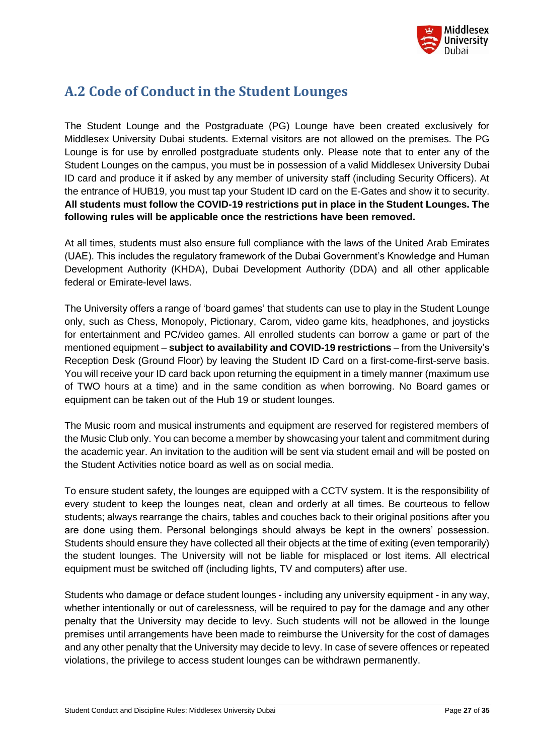

# <span id="page-26-0"></span>**A.2 Code of Conduct in the Student Lounges**

The Student Lounge and the Postgraduate (PG) Lounge have been created exclusively for Middlesex University Dubai students. External visitors are not allowed on the premises. The PG Lounge is for use by enrolled postgraduate students only. Please note that to enter any of the Student Lounges on the campus, you must be in possession of a valid Middlesex University Dubai ID card and produce it if asked by any member of university staff (including Security Officers). At the entrance of HUB19, you must tap your Student ID card on the E-Gates and show it to security. **All students must follow the COVID-19 restrictions put in place in the Student Lounges. The following rules will be applicable once the restrictions have been removed.**

At all times, students must also ensure full compliance with the laws of the United Arab Emirates (UAE). This includes the regulatory framework of the Dubai Government's Knowledge and Human Development Authority (KHDA), Dubai Development Authority (DDA) and all other applicable federal or Emirate-level laws.

The University offers a range of 'board games' that students can use to play in the Student Lounge only, such as Chess, Monopoly, Pictionary, Carom, video game kits, headphones, and joysticks for entertainment and PC/video games. All enrolled students can borrow a game or part of the mentioned equipment – **subject to availability and COVID-19 restrictions** – from the University's Reception Desk (Ground Floor) by leaving the Student ID Card on a first-come-first-serve basis. You will receive your ID card back upon returning the equipment in a timely manner (maximum use of TWO hours at a time) and in the same condition as when borrowing. No Board games or equipment can be taken out of the Hub 19 or student lounges.

The Music room and musical instruments and equipment are reserved for registered members of the Music Club only. You can become a member by showcasing your talent and commitment during the academic year. An invitation to the audition will be sent via student email and will be posted on the Student Activities notice board as well as on social media.

To ensure student safety, the lounges are equipped with a CCTV system. It is the responsibility of every student to keep the lounges neat, clean and orderly at all times. Be courteous to fellow students; always rearrange the chairs, tables and couches back to their original positions after you are done using them. Personal belongings should always be kept in the owners' possession. Students should ensure they have collected all their objects at the time of exiting (even temporarily) the student lounges. The University will not be liable for misplaced or lost items. All electrical equipment must be switched off (including lights, TV and computers) after use.

Students who damage or deface student lounges - including any university equipment - in any way, whether intentionally or out of carelessness, will be required to pay for the damage and any other penalty that the University may decide to levy. Such students will not be allowed in the lounge premises until arrangements have been made to reimburse the University for the cost of damages and any other penalty that the University may decide to levy. In case of severe offences or repeated violations, the privilege to access student lounges can be withdrawn permanently.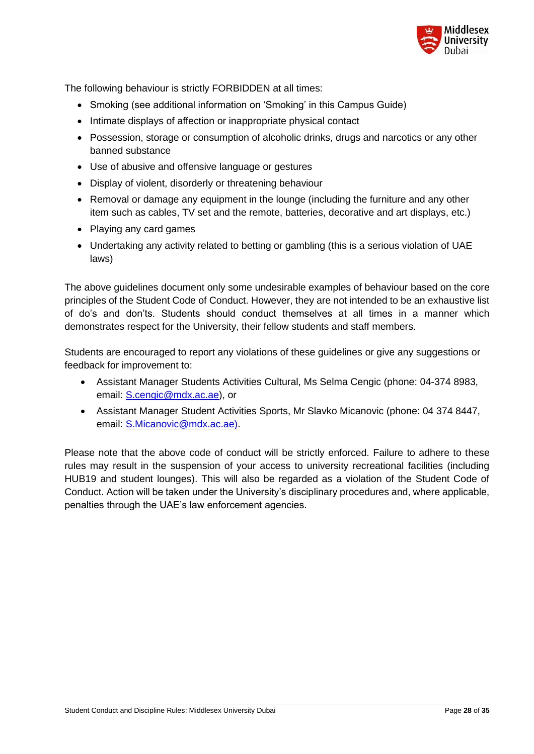

The following behaviour is strictly FORBIDDEN at all times:

- Smoking (see additional information on 'Smoking' in this Campus Guide)
- Intimate displays of affection or inappropriate physical contact
- Possession, storage or consumption of alcoholic drinks, drugs and narcotics or any other banned substance
- Use of abusive and offensive language or gestures
- Display of violent, disorderly or threatening behaviour
- Removal or damage any equipment in the lounge (including the furniture and any other item such as cables, TV set and the remote, batteries, decorative and art displays, etc.)
- Playing any card games
- Undertaking any activity related to betting or gambling (this is a serious violation of UAE laws)

The above guidelines document only some undesirable examples of behaviour based on the core principles of the Student Code of Conduct. However, they are not intended to be an exhaustive list of do's and don'ts. Students should conduct themselves at all times in a manner which demonstrates respect for the University, their fellow students and staff members.

Students are encouraged to report any violations of these guidelines or give any suggestions or feedback for improvement to:

- Assistant Manager Students Activities Cultural, Ms Selma Cengic (phone: 04-374 8983, email: [S.cengic@mdx.ac.ae\)](mailto:S.cengic@mdx.ac.ae), or
- Assistant Manager Student Activities Sports, Mr Slavko Micanovic (phone: 04 374 8447, email: [S.Micanovic@mdx.ac.ae\)](mailto:S.Micanovic@mdx.ac.ae).

Please note that the above code of conduct will be strictly enforced. Failure to adhere to these rules may result in the suspension of your access to university recreational facilities (including HUB19 and student lounges). This will also be regarded as a violation of the Student Code of Conduct. Action will be taken under the University's disciplinary procedures and, where applicable, penalties through the UAE's law enforcement agencies.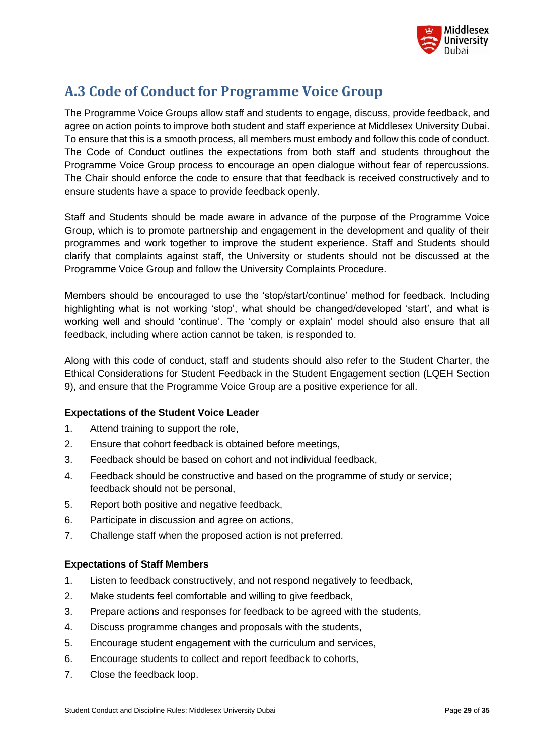

# <span id="page-28-0"></span>**A.3 Code of Conduct for Programme Voice Group**

The Programme Voice Groups allow staff and students to engage, discuss, provide feedback, and agree on action points to improve both student and staff experience at Middlesex University Dubai. To ensure that this is a smooth process, all members must embody and follow this code of conduct. The Code of Conduct outlines the expectations from both staff and students throughout the Programme Voice Group process to encourage an open dialogue without fear of repercussions. The Chair should enforce the code to ensure that that feedback is received constructively and to ensure students have a space to provide feedback openly.

Staff and Students should be made aware in advance of the purpose of the Programme Voice Group, which is to promote partnership and engagement in the development and quality of their programmes and work together to improve the student experience. Staff and Students should clarify that complaints against staff, the University or students should not be discussed at the Programme Voice Group and follow the University Complaints Procedure.

Members should be encouraged to use the 'stop/start/continue' method for feedback. Including highlighting what is not working 'stop', what should be changed/developed 'start', and what is working well and should 'continue'. The 'comply or explain' model should also ensure that all feedback, including where action cannot be taken, is responded to.

Along with this code of conduct, staff and students should also refer to the Student Charter, the Ethical Considerations for Student Feedback in the Student Engagement section (LQEH Section 9), and ensure that the Programme Voice Group are a positive experience for all.

#### **Expectations of the Student Voice Leader**

- 1. Attend training to support the role,
- 2. Ensure that cohort feedback is obtained before meetings,
- 3. Feedback should be based on cohort and not individual feedback,
- 4. Feedback should be constructive and based on the programme of study or service; feedback should not be personal,
- 5. Report both positive and negative feedback,
- 6. Participate in discussion and agree on actions,
- 7. Challenge staff when the proposed action is not preferred.

#### **Expectations of Staff Members**

- 1. Listen to feedback constructively, and not respond negatively to feedback,
- 2. Make students feel comfortable and willing to give feedback,
- 3. Prepare actions and responses for feedback to be agreed with the students,
- 4. Discuss programme changes and proposals with the students,
- 5. Encourage student engagement with the curriculum and services,
- 6. Encourage students to collect and report feedback to cohorts,
- 7. Close the feedback loop.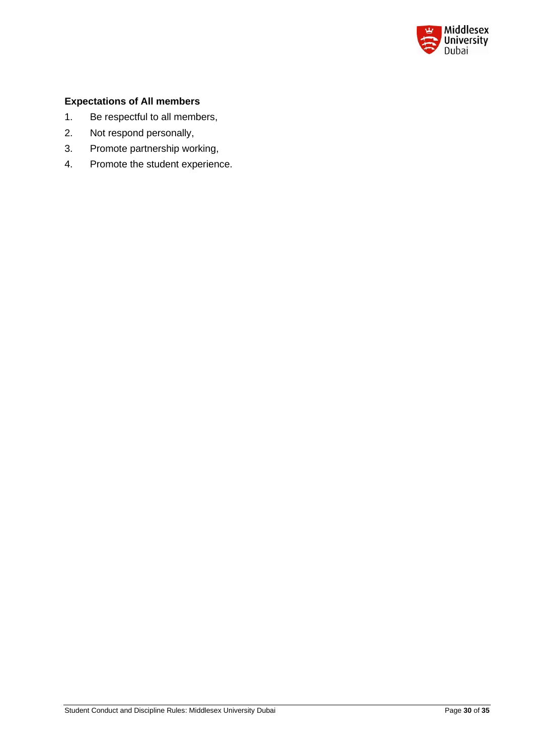

#### **Expectations of All members**

- 1. Be respectful to all members,
- 2. Not respond personally,
- 3. Promote partnership working,
- 4. Promote the student experience.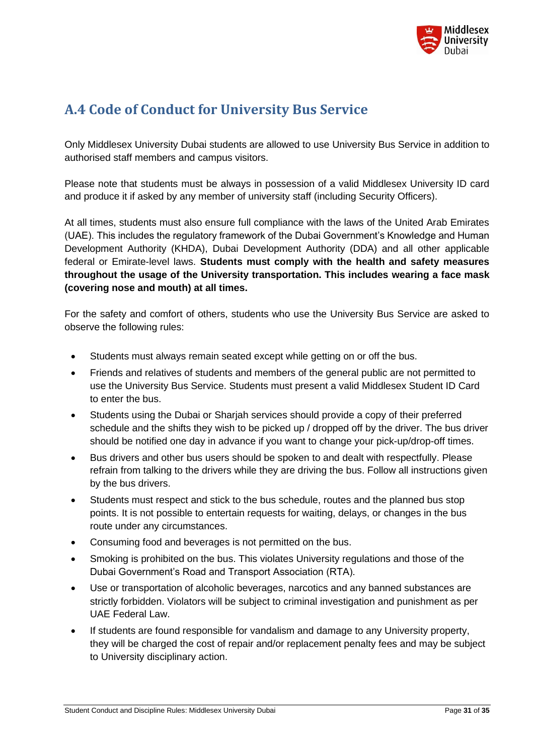

# <span id="page-30-0"></span>**A.4 Code of Conduct for University Bus Service**

Only Middlesex University Dubai students are allowed to use University Bus Service in addition to authorised staff members and campus visitors.

Please note that students must be always in possession of a valid Middlesex University ID card and produce it if asked by any member of university staff (including Security Officers).

At all times, students must also ensure full compliance with the laws of the United Arab Emirates (UAE). This includes the regulatory framework of the Dubai Government's Knowledge and Human Development Authority (KHDA), Dubai Development Authority (DDA) and all other applicable federal or Emirate-level laws. **Students must comply with the health and safety measures throughout the usage of the University transportation. This includes wearing a face mask (covering nose and mouth) at all times.**

For the safety and comfort of others, students who use the University Bus Service are asked to observe the following rules:

- Students must always remain seated except while getting on or off the bus.
- Friends and relatives of students and members of the general public are not permitted to use the University Bus Service. Students must present a valid Middlesex Student ID Card to enter the bus.
- Students using the Dubai or Sharjah services should provide a copy of their preferred schedule and the shifts they wish to be picked up / dropped off by the driver. The bus driver should be notified one day in advance if you want to change your pick-up/drop-off times.
- Bus drivers and other bus users should be spoken to and dealt with respectfully. Please refrain from talking to the drivers while they are driving the bus. Follow all instructions given by the bus drivers.
- Students must respect and stick to the bus schedule, routes and the planned bus stop points. It is not possible to entertain requests for waiting, delays, or changes in the bus route under any circumstances.
- Consuming food and beverages is not permitted on the bus.
- Smoking is prohibited on the bus. This violates University regulations and those of the Dubai Government's Road and Transport Association (RTA).
- Use or transportation of alcoholic beverages, narcotics and any banned substances are strictly forbidden. Violators will be subject to criminal investigation and punishment as per UAE Federal Law.
- If students are found responsible for vandalism and damage to any University property, they will be charged the cost of repair and/or replacement penalty fees and may be subject to University disciplinary action.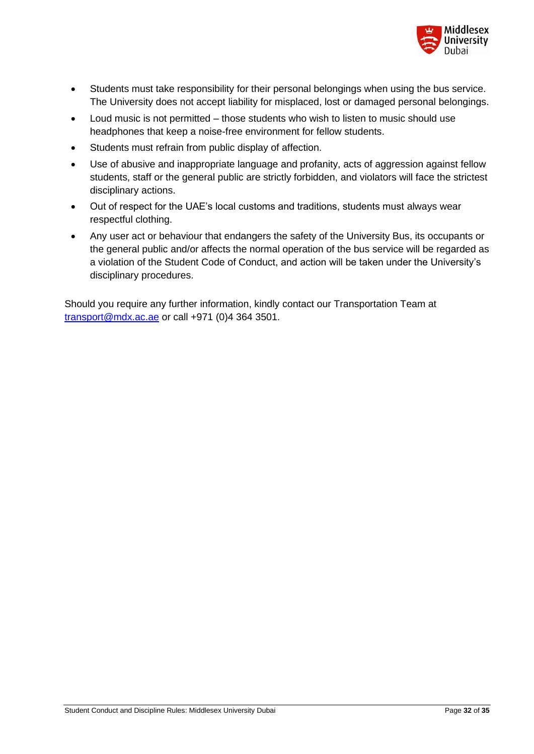

- Students must take responsibility for their personal belongings when using the bus service. The University does not accept liability for misplaced, lost or damaged personal belongings.
- Loud music is not permitted those students who wish to listen to music should use headphones that keep a noise-free environment for fellow students.
- Students must refrain from public display of affection.
- Use of abusive and inappropriate language and profanity, acts of aggression against fellow students, staff or the general public are strictly forbidden, and violators will face the strictest disciplinary actions.
- Out of respect for the UAE's local customs and traditions, students must always wear respectful clothing.
- Any user act or behaviour that endangers the safety of the University Bus, its occupants or the general public and/or affects the normal operation of the bus service will be regarded as a violation of the Student Code of Conduct, and action will be taken under the University's disciplinary procedures.

Should you require any further information, kindly contact our Transportation Team at [transport@mdx.ac.ae](mailto:transport@mdx.ac.ae) or call +971 (0)4 364 3501.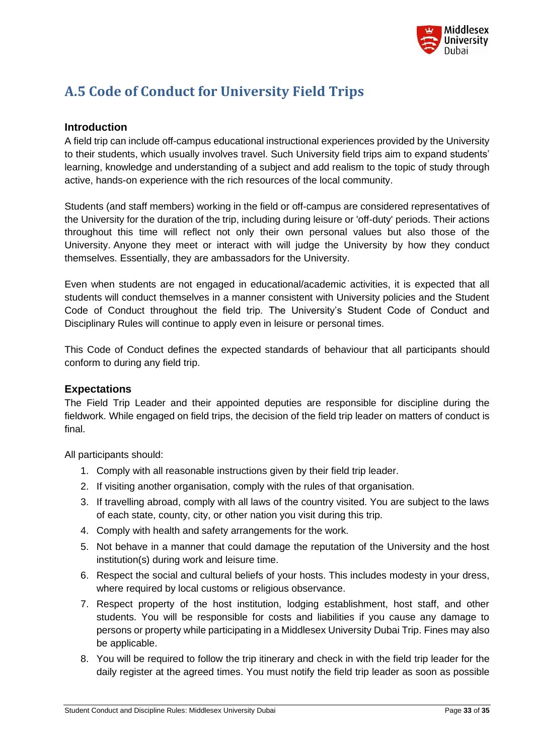

# <span id="page-32-0"></span>**A.5 Code of Conduct for University Field Trips**

#### **Introduction**

A field trip can include off-campus educational instructional experiences provided by the University to their students, which usually involves travel. Such University field trips aim to expand students' learning, knowledge and understanding of a subject and add realism to the topic of study through active, hands-on experience with the rich resources of the local community.

Students (and staff members) working in the field or off-campus are considered representatives of the University for the duration of the trip, including during leisure or 'off-duty' periods. Their actions throughout this time will reflect not only their own personal values but also those of the University. Anyone they meet or interact with will judge the University by how they conduct themselves. Essentially, they are ambassadors for the University.

Even when students are not engaged in educational/academic activities, it is expected that all students will conduct themselves in a manner consistent with University policies and the Student Code of Conduct throughout the field trip. The University's Student Code of Conduct and Disciplinary Rules will continue to apply even in leisure or personal times.

This Code of Conduct defines the expected standards of behaviour that all participants should conform to during any field trip.

#### **Expectations**

The Field Trip Leader and their appointed deputies are responsible for discipline during the fieldwork. While engaged on field trips, the decision of the field trip leader on matters of conduct is final.

All participants should:

- 1. Comply with all reasonable instructions given by their field trip leader.
- 2. If visiting another organisation, comply with the rules of that organisation.
- 3. If travelling abroad, comply with all laws of the country visited. You are subject to the laws of each state, county, city, or other nation you visit during this trip.
- 4. Comply with health and safety arrangements for the work.
- 5. Not behave in a manner that could damage the reputation of the University and the host institution(s) during work and leisure time.
- 6. Respect the social and cultural beliefs of your hosts. This includes modesty in your dress, where required by local customs or religious observance.
- 7. Respect property of the host institution, lodging establishment, host staff, and other students. You will be responsible for costs and liabilities if you cause any damage to persons or property while participating in a Middlesex University Dubai Trip. Fines may also be applicable.
- 8. You will be required to follow the trip itinerary and check in with the field trip leader for the daily register at the agreed times. You must notify the field trip leader as soon as possible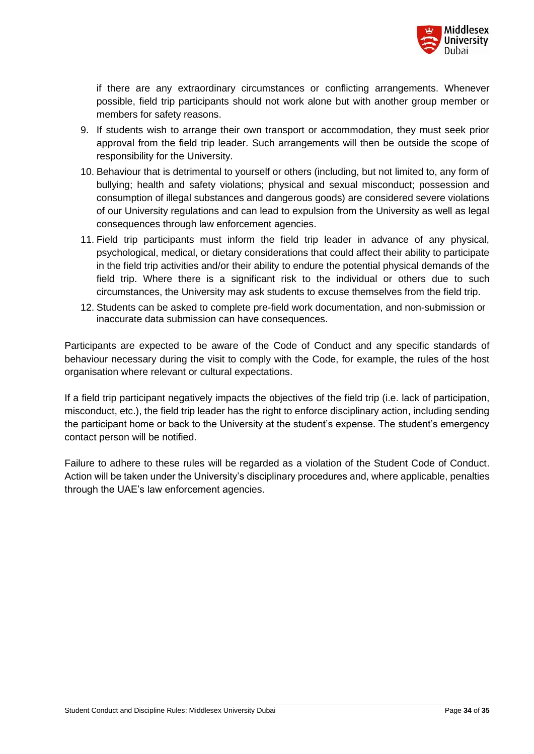

if there are any extraordinary circumstances or conflicting arrangements. Whenever possible, field trip participants should not work alone but with another group member or members for safety reasons.

- 9. If students wish to arrange their own transport or accommodation, they must seek prior approval from the field trip leader. Such arrangements will then be outside the scope of responsibility for the University.
- 10. Behaviour that is detrimental to yourself or others (including, but not limited to, any form of bullying; health and safety violations; physical and sexual misconduct; possession and consumption of illegal substances and dangerous goods) are considered severe violations of our University regulations and can lead to expulsion from the University as well as legal consequences through law enforcement agencies.
- 11. Field trip participants must inform the field trip leader in advance of any physical, psychological, medical, or dietary considerations that could affect their ability to participate in the field trip activities and/or their ability to endure the potential physical demands of the field trip. Where there is a significant risk to the individual or others due to such circumstances, the University may ask students to excuse themselves from the field trip.
- 12. Students can be asked to complete pre-field work documentation, and non-submission or inaccurate data submission can have consequences.

Participants are expected to be aware of the Code of Conduct and any specific standards of behaviour necessary during the visit to comply with the Code, for example, the rules of the host organisation where relevant or cultural expectations.

If a field trip participant negatively impacts the objectives of the field trip (i.e. lack of participation, misconduct, etc.), the field trip leader has the right to enforce disciplinary action, including sending the participant home or back to the University at the student's expense. The student's emergency contact person will be notified.

Failure to adhere to these rules will be regarded as a violation of the Student Code of Conduct. Action will be taken under the University's disciplinary procedures and, where applicable, penalties through the UAE's law enforcement agencies.